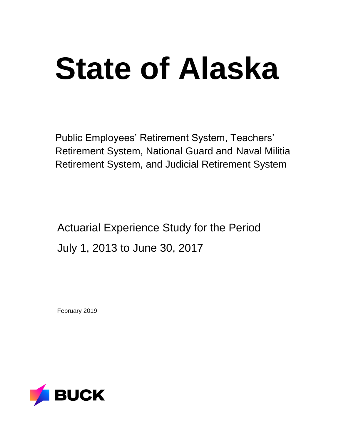# **State of Alaska**

Public Employees' Retirement System, Teachers' Retirement System, National Guard and Naval Militia Retirement System, and Judicial Retirement System

Actuarial Experience Study for the Period July 1, 2013 to June 30, 2017

February 2019

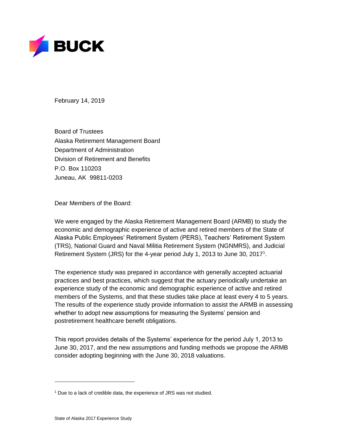

February 14, 2019

Board of Trustees Alaska Retirement Management Board Department of Administration Division of Retirement and Benefits P.O. Box 110203 Juneau, AK 99811-0203

Dear Members of the Board:

We were engaged by the Alaska Retirement Management Board (ARMB) to study the economic and demographic experience of active and retired members of the State of Alaska Public Employees' Retirement System (PERS), Teachers' Retirement System (TRS), National Guard and Naval Militia Retirement System (NGNMRS), and Judicial Retirement System (JRS) for the 4-year period July 1, 2013 to June 30, 2017<sup>1</sup>.

The experience study was prepared in accordance with generally accepted actuarial practices and best practices, which suggest that the actuary periodically undertake an experience study of the economic and demographic experience of active and retired members of the Systems, and that these studies take place at least every 4 to 5 years. The results of the experience study provide information to assist the ARMB in assessing whether to adopt new assumptions for measuring the Systems' pension and postretirement healthcare benefit obligations.

This report provides details of the Systems' experience for the period July 1, 2013 to June 30, 2017, and the new assumptions and funding methods we propose the ARMB consider adopting beginning with the June 30, 2018 valuations.

<sup>&</sup>lt;sup>1</sup> Due to a lack of credible data, the experience of JRS was not studied.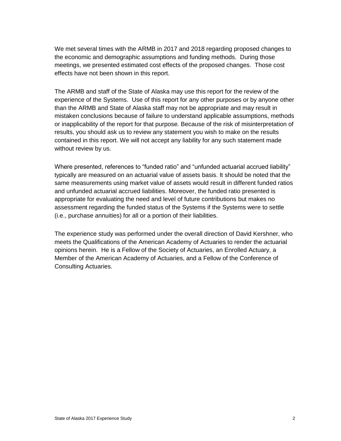We met several times with the ARMB in 2017 and 2018 regarding proposed changes to the economic and demographic assumptions and funding methods. During those meetings, we presented estimated cost effects of the proposed changes. Those cost effects have not been shown in this report.

The ARMB and staff of the State of Alaska may use this report for the review of the experience of the Systems. Use of this report for any other purposes or by anyone other than the ARMB and State of Alaska staff may not be appropriate and may result in mistaken conclusions because of failure to understand applicable assumptions, methods or inapplicability of the report for that purpose. Because of the risk of misinterpretation of results, you should ask us to review any statement you wish to make on the results contained in this report. We will not accept any liability for any such statement made without review by us.

Where presented, references to "funded ratio" and "unfunded actuarial accrued liability" typically are measured on an actuarial value of assets basis. It should be noted that the same measurements using market value of assets would result in different funded ratios and unfunded actuarial accrued liabilities. Moreover, the funded ratio presented is appropriate for evaluating the need and level of future contributions but makes no assessment regarding the funded status of the Systems if the Systems were to settle (i.e., purchase annuities) for all or a portion of their liabilities.

The experience study was performed under the overall direction of David Kershner, who meets the Qualifications of the American Academy of Actuaries to render the actuarial opinions herein. He is a Fellow of the Society of Actuaries, an Enrolled Actuary, a Member of the American Academy of Actuaries, and a Fellow of the Conference of Consulting Actuaries.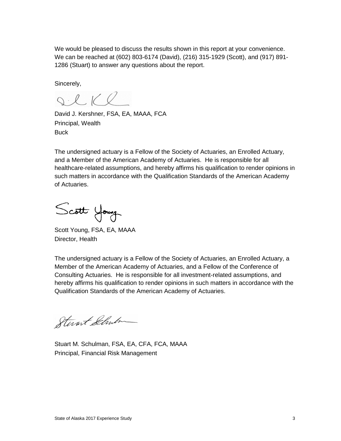We would be pleased to discuss the results shown in this report at your convenience. We can be reached at (602) 803-6174 (David), (216) 315-1929 (Scott), and (917) 891- 1286 (Stuart) to answer any questions about the report.

Sincerely,

SCKR

David J. Kershner, FSA, EA, MAAA, FCA Principal, Wealth **Buck** 

The undersigned actuary is a Fellow of the Society of Actuaries, an Enrolled Actuary, and a Member of the American Academy of Actuaries. He is responsible for all healthcare-related assumptions, and hereby affirms his qualification to render opinions in such matters in accordance with the Qualification Standards of the American Academy of Actuaries.

Scott Young

Scott Young, FSA, EA, MAAA Director, Health

The undersigned actuary is a Fellow of the Society of Actuaries, an Enrolled Actuary, a Member of the American Academy of Actuaries, and a Fellow of the Conference of Consulting Actuaries. He is responsible for all investment-related assumptions, and hereby affirms his qualification to render opinions in such matters in accordance with the Qualification Standards of the American Academy of Actuaries.

Stevant Schulm

Stuart M. Schulman, FSA, EA, CFA, FCA, MAAA Principal, Financial Risk Management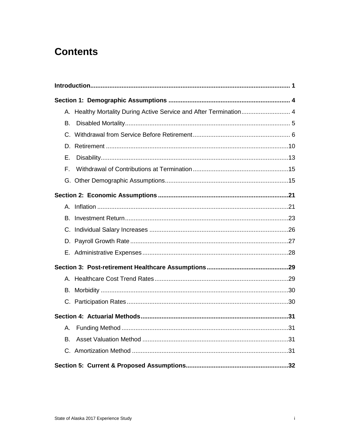# **Contents**

| A. Healthy Mortality During Active Service and After Termination 4 |  |
|--------------------------------------------------------------------|--|
| В.                                                                 |  |
|                                                                    |  |
|                                                                    |  |
| Е.                                                                 |  |
| F.                                                                 |  |
|                                                                    |  |
|                                                                    |  |
|                                                                    |  |
| В.                                                                 |  |
|                                                                    |  |
|                                                                    |  |
|                                                                    |  |
|                                                                    |  |
|                                                                    |  |
|                                                                    |  |
|                                                                    |  |
|                                                                    |  |
| Α.                                                                 |  |
| В.                                                                 |  |
|                                                                    |  |
|                                                                    |  |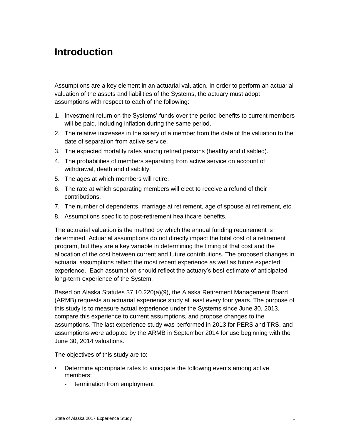# <span id="page-5-0"></span>**Introduction**

Assumptions are a key element in an actuarial valuation. In order to perform an actuarial valuation of the assets and liabilities of the Systems, the actuary must adopt assumptions with respect to each of the following:

- 1. Investment return on the Systems' funds over the period benefits to current members will be paid, including inflation during the same period.
- 2. The relative increases in the salary of a member from the date of the valuation to the date of separation from active service.
- 3. The expected mortality rates among retired persons (healthy and disabled).
- 4. The probabilities of members separating from active service on account of withdrawal, death and disability.
- 5. The ages at which members will retire.
- 6. The rate at which separating members will elect to receive a refund of their contributions.
- 7. The number of dependents, marriage at retirement, age of spouse at retirement, etc.
- 8. Assumptions specific to post-retirement healthcare benefits.

The actuarial valuation is the method by which the annual funding requirement is determined. Actuarial assumptions do not directly impact the total cost of a retirement program, but they are a key variable in determining the timing of that cost and the allocation of the cost between current and future contributions. The proposed changes in actuarial assumptions reflect the most recent experience as well as future expected experience. Each assumption should reflect the actuary's best estimate of anticipated long-term experience of the System.

Based on Alaska Statutes 37.10.220(a)(9), the Alaska Retirement Management Board (ARMB) requests an actuarial experience study at least every four years. The purpose of this study is to measure actual experience under the Systems since June 30, 2013, compare this experience to current assumptions, and propose changes to the assumptions. The last experience study was performed in 2013 for PERS and TRS, and assumptions were adopted by the ARMB in September 2014 for use beginning with the June 30, 2014 valuations.

The objectives of this study are to:

- Determine appropriate rates to anticipate the following events among active members:
	- termination from employment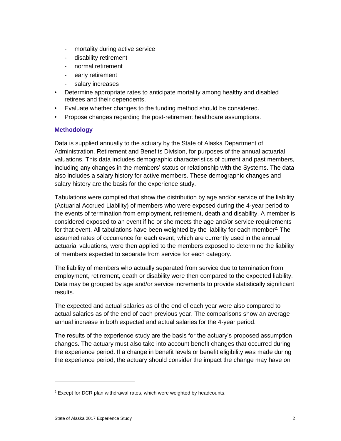- mortality during active service
- disability retirement
- normal retirement
- early retirement
- salary increases
- Determine appropriate rates to anticipate mortality among healthy and disabled retirees and their dependents.
- Evaluate whether changes to the funding method should be considered.
- Propose changes regarding the post-retirement healthcare assumptions.

#### **Methodology**

Data is supplied annually to the actuary by the State of Alaska Department of Administration, Retirement and Benefits Division, for purposes of the annual actuarial valuations. This data includes demographic characteristics of current and past members, including any changes in the members' status or relationship with the Systems. The data also includes a salary history for active members. These demographic changes and salary history are the basis for the experience study.

Tabulations were compiled that show the distribution by age and/or service of the liability (Actuarial Accrued Liability) of members who were exposed during the 4-year period to the events of termination from employment, retirement, death and disability. A member is considered exposed to an event if he or she meets the age and/or service requirements for that event. All tabulations have been weighted by the liability for each member<sup>2.</sup> The assumed rates of occurrence for each event, which are currently used in the annual actuarial valuations, were then applied to the members exposed to determine the liability of members expected to separate from service for each category.

The liability of members who actually separated from service due to termination from employment, retirement, death or disability were then compared to the expected liability. Data may be grouped by age and/or service increments to provide statistically significant results.

The expected and actual salaries as of the end of each year were also compared to actual salaries as of the end of each previous year. The comparisons show an average annual increase in both expected and actual salaries for the 4-year period.

The results of the experience study are the basis for the actuary's proposed assumption changes. The actuary must also take into account benefit changes that occurred during the experience period. If a change in benefit levels or benefit eligibility was made during the experience period, the actuary should consider the impact the change may have on

 $2$  Except for DCR plan withdrawal rates, which were weighted by headcounts.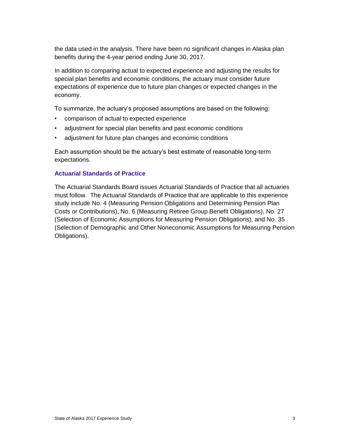the data used in the analysis. There have been no significant changes in Alaska plan benefits during the 4-year period ending June 30, 2017.

In addition to comparing actual to expected experience and adjusting the results for special plan benefits and economic conditions, the actuary must consider future expectations of experience due to future plan changes or expected changes in the economy.

To summarize, the actuary's proposed assumptions are based on the following:

- comparison of actual to expected experience
- adjustment for special plan benefits and past economic conditions
- adjustment for future plan changes and economic conditions

Each assumption should be the actuary's best estimate of reasonable long-term expectations.

#### **Actuarial Standards of Practice**

The Actuarial Standards Board issues Actuarial Standards of Practice that all actuaries must follow. The Actuarial Standards of Practice that are applicable to this experience study include No. 4 (Measuring Pension Obligations and Determining Pension Plan Costs or Contributions), No. 6 (Measuring Retiree Group Benefit Obligations), No. 27 (Selection of Economic Assumptions for Measuring Pension Obligations), and No. 35 (Selection of Demographic and Other Noneconomic Assumptions for Measuring Pension Obligations).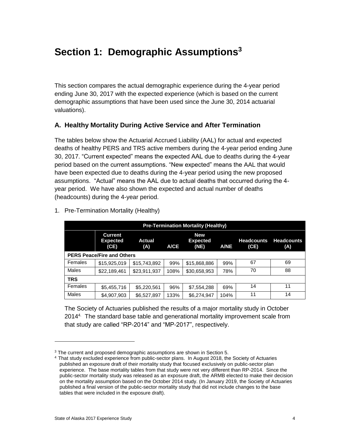# <span id="page-8-0"></span>**Section 1: Demographic Assumptions<sup>3</sup>**

This section compares the actual demographic experience during the 4-year period ending June 30, 2017 with the expected experience (which is based on the current demographic assumptions that have been used since the June 30, 2014 actuarial valuations).

# <span id="page-8-1"></span>**A. Healthy Mortality During Active Service and After Termination**

The tables below show the Actuarial Accrued Liability (AAL) for actual and expected deaths of healthy PERS and TRS active members during the 4-year period ending June 30, 2017. "Current expected" means the expected AAL due to deaths during the 4-year period based on the current assumptions. "New expected" means the AAL that would have been expected due to deaths during the 4-year period using the new proposed assumptions. "Actual" means the AAL due to actual deaths that occurred during the 4 year period. We have also shown the expected and actual number of deaths (headcounts) during the 4-year period.

| <b>Pre-Termination Mortality (Healthy)</b> |                                                                                                                                                                                            |              |      |              |      |    |    |  |  |  |  |
|--------------------------------------------|--------------------------------------------------------------------------------------------------------------------------------------------------------------------------------------------|--------------|------|--------------|------|----|----|--|--|--|--|
|                                            | <b>New</b><br><b>Current</b><br><b>Headcounts</b><br><b>Expected</b><br><b>Headcounts</b><br><b>Actual</b><br><b>Expected</b><br>(CE)<br><b>A/CE</b><br>(NE)<br><b>A/NE</b><br>(A)<br>(CE) |              |      |              |      |    |    |  |  |  |  |
|                                            | <b>PERS Peace/Fire and Others</b>                                                                                                                                                          |              |      |              |      |    |    |  |  |  |  |
| Females                                    | \$15,925,019                                                                                                                                                                               | \$15,743,892 | 99%  | \$15,868,886 | 99%  | 67 | 69 |  |  |  |  |
| Males                                      | \$22,189,461                                                                                                                                                                               | \$23,911,937 | 108% | \$30,658,953 | 78%  | 70 | 88 |  |  |  |  |
| <b>TRS</b>                                 |                                                                                                                                                                                            |              |      |              |      |    |    |  |  |  |  |
| Females                                    | 14<br>11<br>\$5,455,716<br>\$5,220,561<br>96%<br>\$7,554,288<br>69%                                                                                                                        |              |      |              |      |    |    |  |  |  |  |
| Males                                      | \$4,907,903                                                                                                                                                                                | \$6,527,897  | 133% | \$6,274,947  | 104% | 11 | 14 |  |  |  |  |

1. Pre-Termination Mortality (Healthy)

The Society of Actuaries published the results of a major mortality study in October 2014<sup>4</sup> The standard base table and generational mortality improvement scale from that study are called "RP-2014" and "MP-2017", respectively.

 $\overline{a}$ 

<sup>&</sup>lt;sup>3</sup> The current and proposed demographic assumptions are shown in Section 5.

<sup>4</sup> That study excluded experience from public-sector plans. In August 2018, the Society of Actuaries published an exposure draft of their mortality study that focused exclusively on public-sector plan experience. The base mortality tables from that study were not very different than RP-2014. Since the public-sector mortality study was released as an exposure draft, the ARMB elected to make their decision on the mortality assumption based on the October 2014 study. (In January 2019, the Society of Actuaries published a final version of the public-sector mortality study that did not include changes to the base tables that were included in the exposure draft).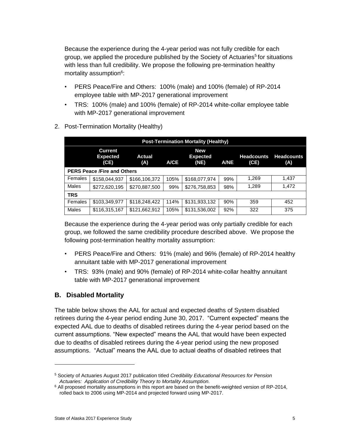Because the experience during the 4-year period was not fully credible for each group, we applied the procedure published by the Society of Actuaries<sup>5</sup> for situations with less than full credibility. We propose the following pre-termination healthy mortality assumption<sup>6</sup>:

- PERS Peace/Fire and Others: 100% (male) and 100% (female) of RP-2014 employee table with MP-2017 generational improvement
- TRS: 100% (male) and 100% (female) of RP-2014 white-collar employee table with MP-2017 generational improvement

|            | <b>Post-Termination Mortality (Healthy)</b>                                                                                                                                         |               |      |               |     |       |       |  |  |  |  |
|------------|-------------------------------------------------------------------------------------------------------------------------------------------------------------------------------------|---------------|------|---------------|-----|-------|-------|--|--|--|--|
|            | <b>Current</b><br><b>New</b><br><b>Headcounts</b><br><b>Headcounts</b><br>Actual<br><b>Expected</b><br><b>Expected</b><br><b>A/CE</b><br>(NE)<br>(CE)<br><b>A/NE</b><br>(CE)<br>(A) |               |      |               |     |       |       |  |  |  |  |
|            | <b>PERS Peace /Fire and Others</b>                                                                                                                                                  |               |      |               |     |       |       |  |  |  |  |
| Females    | \$158,044,937                                                                                                                                                                       | \$166,106,372 | 105% | \$168,077,974 | 99% | 1,269 | 1,437 |  |  |  |  |
| Males      | \$272,620,195                                                                                                                                                                       | \$270,887,500 | 99%  | \$276,758,853 | 98% | 1,289 | 1,472 |  |  |  |  |
| <b>TRS</b> |                                                                                                                                                                                     |               |      |               |     |       |       |  |  |  |  |
| Females    | \$103,349,977                                                                                                                                                                       | \$118,248,422 | 114% | \$131,933,132 | 90% | 359   | 452   |  |  |  |  |
| Males      | \$116,315,167                                                                                                                                                                       | \$121,662,912 | 105% | \$131,536,002 | 92% | 322   | 375   |  |  |  |  |

2. Post-Termination Mortality (Healthy)

Because the experience during the 4-year period was only partially credible for each group, we followed the same credibility procedure described above. We propose the following post-termination healthy mortality assumption:

- PERS Peace/Fire and Others: 91% (male) and 96% (female) of RP-2014 healthy annuitant table with MP-2017 generational improvement
- TRS: 93% (male) and 90% (female) of RP-2014 white-collar healthy annuitant table with MP-2017 generational improvement

## <span id="page-9-0"></span>**B. Disabled Mortality**

The table below shows the AAL for actual and expected deaths of System disabled retirees during the 4-year period ending June 30, 2017. "Current expected" means the expected AAL due to deaths of disabled retirees during the 4-year period based on the current assumptions. "New expected" means the AAL that would have been expected due to deaths of disabled retirees during the 4-year period using the new proposed assumptions. "Actual" means the AAL due to actual deaths of disabled retirees that

<sup>5</sup> Society of Actuaries August 2017 publication titled *Credibility Educational Resources for Pension Actuaries: Application of Credibility Theory to Mortality Assumption.*

 $6$  All proposed mortality assumptions in this report are based on the benefit-weighted version of RP-2014, rolled back to 2006 using MP-2014 and projected forward using MP-2017.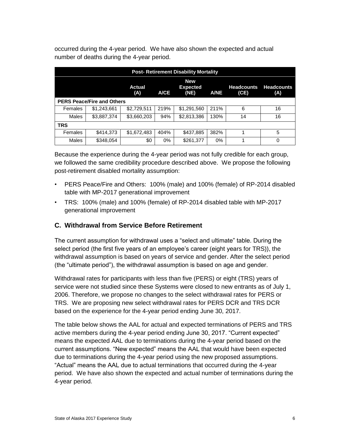occurred during the 4-year period. We have also shown the expected and actual number of deaths during the 4-year period.

| <b>Post-Retirement Disability Mortality</b>                                                                                                          |             |             |      |             |       |    |    |  |  |  |
|------------------------------------------------------------------------------------------------------------------------------------------------------|-------------|-------------|------|-------------|-------|----|----|--|--|--|
| <b>New</b><br><b>Headcounts</b><br><b>Headcounts</b><br><b>Actual</b><br><b>Expected</b><br>(NE)<br><b>A/CE</b><br>(A)<br><b>A/NE</b><br>(CE)<br>(A) |             |             |      |             |       |    |    |  |  |  |
| <b>PERS Peace/Fire and Others</b>                                                                                                                    |             |             |      |             |       |    |    |  |  |  |
| Females                                                                                                                                              | \$1,243,661 | \$2,729,511 | 219% | \$1,291,560 | 211%  | 6  | 16 |  |  |  |
| Males                                                                                                                                                | \$3,887,374 | \$3,660,203 | 94%  | \$2,813,386 | 130%  | 14 | 16 |  |  |  |
| <b>TRS</b>                                                                                                                                           |             |             |      |             |       |    |    |  |  |  |
| \$1,672,483<br>\$437,885<br>\$414,373<br>404%<br>382%<br>5<br>Females                                                                                |             |             |      |             |       |    |    |  |  |  |
| Males                                                                                                                                                | \$348,054   | \$0         | 0%   | \$261,377   | $0\%$ |    | 0  |  |  |  |

Because the experience during the 4-year period was not fully credible for each group, we followed the same credibility procedure described above. We propose the following post-retirement disabled mortality assumption:

- PERS Peace/Fire and Others: 100% (male) and 100% (female) of RP-2014 disabled table with MP-2017 generational improvement
- TRS: 100% (male) and 100% (female) of RP-2014 disabled table with MP-2017 generational improvement

# <span id="page-10-0"></span>**C. Withdrawal from Service Before Retirement**

The current assumption for withdrawal uses a "select and ultimate" table. During the select period (the first five years of an employee's career (eight years for TRS)), the withdrawal assumption is based on years of service and gender. After the select period (the "ultimate period"), the withdrawal assumption is based on age and gender.

Withdrawal rates for participants with less than five (PERS) or eight (TRS) years of service were not studied since these Systems were closed to new entrants as of July 1, 2006. Therefore, we propose no changes to the select withdrawal rates for PERS or TRS. We are proposing new select withdrawal rates for PERS DCR and TRS DCR based on the experience for the 4-year period ending June 30, 2017.

The table below shows the AAL for actual and expected terminations of PERS and TRS active members during the 4-year period ending June 30, 2017. "Current expected" means the expected AAL due to terminations during the 4-year period based on the current assumptions. "New expected" means the AAL that would have been expected due to terminations during the 4-year period using the new proposed assumptions. "Actual" means the AAL due to actual terminations that occurred during the 4-year period. We have also shown the expected and actual number of terminations during the 4-year period.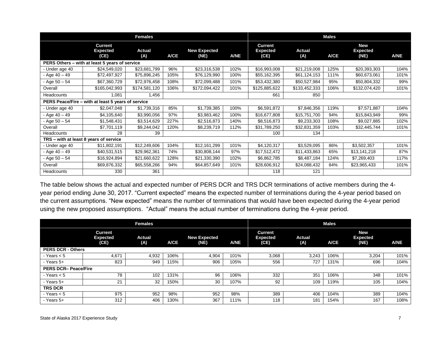|                                        |                                                    | <b>Females</b>       |             |                             |             |                                           |                      | <b>Males</b> |                                       |             |
|----------------------------------------|----------------------------------------------------|----------------------|-------------|-----------------------------|-------------|-------------------------------------------|----------------------|--------------|---------------------------------------|-------------|
|                                        | <b>Current</b><br><b>Expected</b><br>(CE)          | <b>Actual</b><br>(A) | <b>A/CE</b> | <b>New Expected</b><br>(NE) | <b>A/NE</b> | <b>Current</b><br><b>Expected</b><br>(CE) | <b>Actual</b><br>(A) | <b>A/CE</b>  | <b>New</b><br><b>Expected</b><br>(NE) | <b>A/NE</b> |
|                                        | PERS Others – with at least 5 years of service     |                      |             |                             |             |                                           |                      |              |                                       |             |
| - Under age 40                         | \$24,549,020                                       | \$23,681,799         | 96%         | \$23,316,538                | 102%        | \$16,993,008                              | \$21,219,008         | 125%         | \$20,393,303                          | 104%        |
| $-$ Age 40 $-$ 49                      | \$72,497,927                                       | \$75,896,245         | 105%        | \$76,129,990                | 100%        | \$55,162,395                              | \$61,124,153         | 111%         | \$60,673,061                          | 101%        |
| - Age 50 - 54                          | \$67,360,729                                       | \$72,976,458         | 108%        | \$72,099,488                | 101%        | \$53,432,380                              | \$50,527,984         | 95%          | \$50,804,332                          | 99%         |
| Overall                                | \$165,042,993                                      | \$174,581,120        | 106%        | \$172,094,422               | 101%        | \$125,885,622                             | \$133,452,333        | 106%         | \$132,074,420                         | 101%        |
| <b>Headcounts</b>                      | 1,081                                              | 1,456                |             |                             |             | 661                                       | 850                  |              |                                       |             |
|                                        | PERS Peace/Fire - with at least 5 years of service |                      |             |                             |             |                                           |                      |              |                                       |             |
| - Under age 40                         | \$2,047,048                                        | \$1,739,316          | 85%         | \$1,739,385                 | 100%        | \$6,591,872                               | \$7,846,356          | 119%         | \$7,571,887                           | 104%        |
| $-$ Age 40 $-$ 49                      | \$4,105,640                                        | \$3,990,056          | 97%         | \$3,983,462                 | 100%        | \$16,677,808                              | \$15,751,700         | 94%          | \$15,843,949                          | 99%         |
| $-$ Age $50 - 54$                      | \$1,548,431                                        | \$3,514,629          | 227%        | \$2,516,873                 | 140%        | \$8,516,873                               | \$9,233,303          | 108%         | \$9,027,885                           | 102%        |
| Overall                                | \$7,701,119                                        | \$9,244,042          | 120%        | \$8,239,719                 | 112%        | \$31,789,250                              | \$32,831,359         | 103%         | \$32,445,744                          | 101%        |
| Headcounts                             | 28                                                 | 39                   |             |                             |             | 100                                       | 134                  |              |                                       |             |
| TRS - with at least 8 years of service |                                                    |                      |             |                             |             |                                           |                      |              |                                       |             |
| - Under age 40                         | \$11,802,191                                       | \$12,249,606         | 104%        | \$12,161,299                | 101%        | \$4,120,317                               | \$3,529,095          | 86%          | \$3,502,357                           | 101%        |
| - Age 40 - 49                          | \$40,531,515                                       | \$29,962,361         | 74%         | \$30,808,144                | 97%         | \$17,512,472                              | \$11,433,863         | 65%          | \$13,141,218                          | 87%         |
| - Age $50 - 54$                        | \$16,924,894                                       | \$21,660,622         | 128%        | \$21,330,390                | 102%        | \$6,862,785                               | \$8,487,184          | 124%         | \$7,269,403                           | 117%        |
| Overall                                | \$69,876,332                                       | \$65,558,266         | 94%         | \$64,857,649                | 101%        | \$28,606,912                              | \$24,088,432         | 84%          | \$23,965,433                          | 101%        |
| <b>Headcounts</b>                      | 330                                                | 361                  |             |                             |             | 118                                       | 121                  |              |                                       |             |

The table below shows the actual and expected number of PERS DCR and TRS DCR terminations of active members during the 4 year period ending June 30, 2017. "Current expected" means the expected number of terminations during the 4-year period based on the current assumptions. "New expected" means the number of terminations that would have been expected during the 4-year period using the new proposed assumptions. "Actual" means the actual number of terminations during the 4-year period.

|                            |                                           | <b>Females</b> |             |                             |             | <b>Males</b>                              |                      |             |                                       |             |  |
|----------------------------|-------------------------------------------|----------------|-------------|-----------------------------|-------------|-------------------------------------------|----------------------|-------------|---------------------------------------|-------------|--|
|                            | <b>Current</b><br><b>Expected</b><br>(CE) | Actual<br>(A)  | <b>A/CE</b> | <b>New Expected</b><br>(NE) | <b>A/NE</b> | <b>Current</b><br><b>Expected</b><br>(CE) | <b>Actual</b><br>(A) | <b>A/CE</b> | <b>New</b><br><b>Expected</b><br>(NE) | <b>A/NE</b> |  |
| <b>PERS DCR - Others</b>   |                                           |                |             |                             |             |                                           |                      |             |                                       |             |  |
| $-$ Years $< 5$            | 4,671                                     | 4,932          | 106%        | 4,904                       | 101%        | 3,068                                     | 3,243                | 106%        | 3,204                                 | 101%        |  |
| - Years 5+                 | 823                                       | 949            | 115%        | 906                         | 105%        | 556                                       | 727                  | 131%        | 696                                   | 104%        |  |
| <b>PERS DCR-Peace/Fire</b> |                                           |                |             |                             |             |                                           |                      |             |                                       |             |  |
| - Years $< 5$              | 78                                        | 102            | 131%        | 96                          | 106%        | 332                                       | 351                  | 106%        | 348                                   | 101%        |  |
| - Years 5+                 | 21                                        | 32             | 150%        | 30                          | 107%        | 92                                        | 109                  | 119%        | 105                                   | 104%        |  |
| <b>TRS DCR</b>             |                                           |                |             |                             |             |                                           |                      |             |                                       |             |  |
| $-$ Years $< 5$            | 975                                       | 952            | 98%         | 952                         | 98%         | 389                                       | 406                  | 104%        | 389                                   | 104%        |  |
| - Years 5+                 | 312                                       | 406            | 130%        | 367                         | 111%        | 118                                       | 181                  | 154%        | 167                                   | 108%        |  |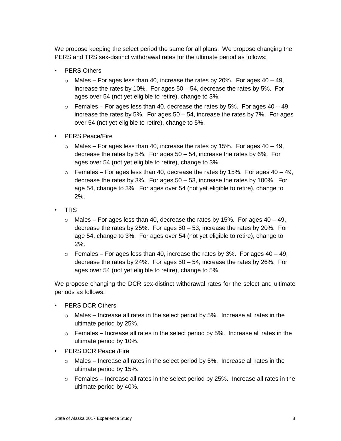We propose keeping the select period the same for all plans. We propose changing the PERS and TRS sex-distinct withdrawal rates for the ultimate period as follows:

- **PERS Others** 
	- $\circ$  Males For ages less than 40, increase the rates by 20%. For ages 40 49, increase the rates by 10%. For ages 50 – 54, decrease the rates by 5%. For ages over 54 (not yet eligible to retire), change to 3%.
	- $\circ$  Females For ages less than 40, decrease the rates by 5%. For ages 40 49, increase the rates by 5%. For ages  $50 - 54$ , increase the rates by 7%. For ages over 54 (not yet eligible to retire), change to 5%.
- PERS Peace/Fire
	- $\circ$  Males For ages less than 40, increase the rates by 15%. For ages 40 49, decrease the rates by 5%. For ages 50 – 54, increase the rates by 6%. For ages over 54 (not yet eligible to retire), change to 3%.
	- $\circ$  Females For ages less than 40, decrease the rates by 15%. For ages 40 49, decrease the rates by 3%. For ages 50 – 53, increase the rates by 100%. For age 54, change to 3%. For ages over 54 (not yet eligible to retire), change to 2%.
- TRS
	- $\circ$  Males For ages less than 40, decrease the rates by 15%. For ages 40 49, decrease the rates by 25%. For ages 50 – 53, increase the rates by 20%. For age 54, change to 3%. For ages over 54 (not yet eligible to retire), change to 2%.
	- $\circ$  Females For ages less than 40, increase the rates by 3%. For ages 40 49, decrease the rates by 24%. For ages 50 – 54, increase the rates by 26%. For ages over 54 (not yet eligible to retire), change to 5%.

We propose changing the DCR sex-distinct withdrawal rates for the select and ultimate periods as follows:

- PERS DCR Others
	- o Males Increase all rates in the select period by 5%. Increase all rates in the ultimate period by 25%.
	- $\circ$  Females Increase all rates in the select period by 5%. Increase all rates in the ultimate period by 10%.
- PERS DCR Peace /Fire
	- $\circ$  Males Increase all rates in the select period by 5%. Increase all rates in the ultimate period by 15%.
	- $\circ$  Females Increase all rates in the select period by 25%. Increase all rates in the ultimate period by 40%.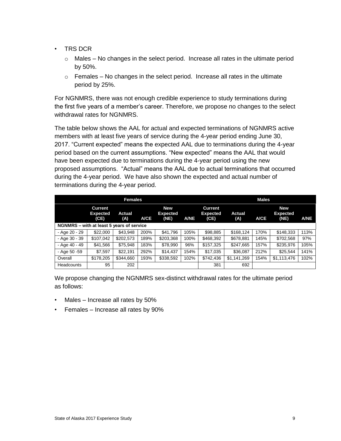- TRS DCR
	- $\circ$  Males No changes in the select period. Increase all rates in the ultimate period by 50%.
	- $\circ$  Females No changes in the select period. Increase all rates in the ultimate period by 25%.

For NGNMRS, there was not enough credible experience to study terminations during the first five years of a member's career. Therefore, we propose no changes to the select withdrawal rates for NGNMRS.

The table below shows the AAL for actual and expected terminations of NGNMRS active members with at least five years of service during the 4-year period ending June 30, 2017. "Current expected" means the expected AAL due to terminations during the 4-year period based on the current assumptions. "New expected" means the AAL that would have been expected due to terminations during the 4-year period using the new proposed assumptions. "Actual" means the AAL due to actual terminations that occurred during the 4-year period. We have also shown the expected and actual number of terminations during the 4-year period.

|                                           |                                           | <b>Females</b>       |             |                                       |             | <b>Males</b>                       |                      |             |                                       |             |
|-------------------------------------------|-------------------------------------------|----------------------|-------------|---------------------------------------|-------------|------------------------------------|----------------------|-------------|---------------------------------------|-------------|
|                                           | <b>Current</b><br><b>Expected</b><br>(CE) | <b>Actual</b><br>(A) | <b>A/CE</b> | <b>New</b><br><b>Expected</b><br>(NE) | <b>A/NE</b> | Current<br><b>Expected</b><br>(CE) | <b>Actual</b><br>(A) | <b>A/CE</b> | <b>New</b><br><b>Expected</b><br>(NE) | <b>A/NE</b> |
| NGNMRS - with at least 5 years of service |                                           |                      |             |                                       |             |                                    |                      |             |                                       |             |
| - Age 20 - 29                             | \$22,000                                  | \$43.948             | 200%        | \$41,796                              | 105%        | \$98,885                           | \$168,124            | 170%        | \$148,333                             | 113%        |
| - Age 30 - 39                             | \$107,042                                 | \$202,573            | 189%        | \$203,368                             | 100%        | \$468,392                          | \$678.881            | 145%        | \$702,568                             | 97%         |
| - Age 40 - 49                             | \$41,566                                  | \$75,948             | 183%        | \$78,990                              | 96%         | \$157,325                          | \$247,665            | 157%        | \$235,976                             | 105%        |
| - Age 50 - 59                             | \$7.597                                   | \$22.191             | 292%        | \$14,437                              | 154%        | \$17.035                           | \$36,087             | 212%        | \$25.544                              | 141%        |
| Overall                                   | \$178,205                                 | \$344,660            | 193%        | \$338,592                             | 102%        | \$742,436                          | \$1,141,269          | 154%        | \$1,113,476                           | 102%        |
| Headcounts                                | 95                                        | 202                  |             |                                       |             | 381                                | 692                  |             |                                       |             |

We propose changing the NGNMRS sex-distinct withdrawal rates for the ultimate period as follows:

- Males Increase all rates by 50%
- Females Increase all rates by 90%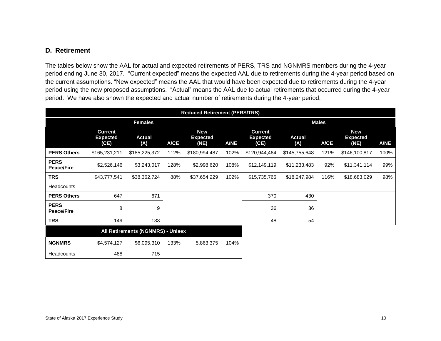## **D. Retirement**

The tables below show the AAL for actual and expected retirements of PERS, TRS and NGNMRS members during the 4-year period ending June 30, 2017. "Current expected" means the expected AAL due to retirements during the 4-year period based on the current assumptions. "New expected" means the AAL that would have been expected due to retirements during the 4-year period using the new proposed assumptions. "Actual" means the AAL due to actual retirements that occurred during the 4-year period. We have also shown the expected and actual number of retirements during the 4-year period.

<span id="page-14-0"></span>

|                                  | <b>Reduced Retirement (PERS/TRS)</b>      |                      |      |                                       |      |                                           |                      |      |                                       |             |  |
|----------------------------------|-------------------------------------------|----------------------|------|---------------------------------------|------|-------------------------------------------|----------------------|------|---------------------------------------|-------------|--|
|                                  |                                           | <b>Females</b>       |      |                                       |      | <b>Males</b>                              |                      |      |                                       |             |  |
|                                  | <b>Current</b><br><b>Expected</b><br>(CE) | <b>Actual</b><br>(A) | A/CE | <b>New</b><br><b>Expected</b><br>(NE) | A/NE | <b>Current</b><br><b>Expected</b><br>(CE) | <b>Actual</b><br>(A) | A/CE | <b>New</b><br><b>Expected</b><br>(NE) | <b>A/NE</b> |  |
| <b>PERS Others</b>               | \$165,231,211                             | \$185,225,372        | 112% | \$180,994,487                         | 102% | \$120,944,464                             | \$145,755,648        | 121% | \$146,100,817                         | 100%        |  |
| <b>PERS</b><br><b>Peace/Fire</b> | \$2,526,146                               | \$3,243,017          | 128% | \$2,998,620                           | 108% | \$12,149,119                              | \$11,233,483         | 92%  | \$11,341,114                          | 99%         |  |
| <b>TRS</b>                       | \$43,777,541                              | \$38,362,724         | 88%  | \$37,654,229                          | 102% | \$15,735,766                              | \$18,247,984         | 116% | \$18,683,029                          | 98%         |  |
| <b>Headcounts</b>                |                                           |                      |      |                                       |      |                                           |                      |      |                                       |             |  |
| <b>PERS Others</b>               | 647                                       | 671                  |      |                                       |      | 370                                       | 430                  |      |                                       |             |  |
| <b>PERS</b><br><b>Peace/Fire</b> | 8                                         | 9                    |      |                                       |      | 36                                        | 36                   |      |                                       |             |  |
| <b>TRS</b>                       | 149                                       | 133                  |      |                                       |      | 48                                        | 54                   |      |                                       |             |  |
|                                  | All Retirements (NGNMRS) - Unisex         |                      |      |                                       |      |                                           |                      |      |                                       |             |  |
| <b>NGNMRS</b>                    | \$4,574,127                               | \$6,095,310          | 133% | 5,863,375                             | 104% |                                           |                      |      |                                       |             |  |
| Headcounts                       | 488                                       | 715                  |      |                                       |      |                                           |                      |      |                                       |             |  |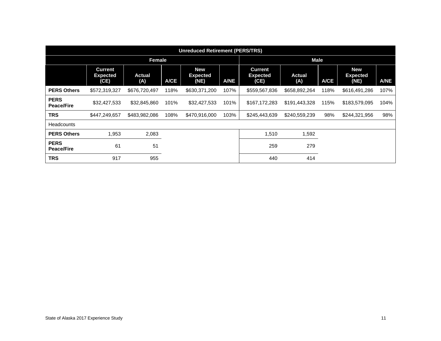|                                  | <b>Unreduced Retirement (PERS/TRS)</b>    |               |             |                                       |             |                                           |                      |      |                                       |             |  |  |
|----------------------------------|-------------------------------------------|---------------|-------------|---------------------------------------|-------------|-------------------------------------------|----------------------|------|---------------------------------------|-------------|--|--|
|                                  |                                           | Female        |             |                                       |             | <b>Male</b>                               |                      |      |                                       |             |  |  |
|                                  | <b>Current</b><br><b>Expected</b><br>(CE) | Actual<br>(A) | <b>A/CE</b> | <b>New</b><br><b>Expected</b><br>(NE) | <b>A/NE</b> | <b>Current</b><br><b>Expected</b><br>(CE) | <b>Actual</b><br>(A) | A/CE | <b>New</b><br><b>Expected</b><br>(NE) | <b>A/NE</b> |  |  |
| <b>PERS Others</b>               | \$572,319,327                             | \$676,720,497 | 118%        | \$630,371,200                         | 107%        | \$559,567,836                             | \$658,892,264        | 118% | \$616,491,286                         | 107%        |  |  |
| <b>PERS</b><br><b>Peace/Fire</b> | \$32,427,533                              | \$32,845,860  | 101%        | \$32,427,533                          | 101%        | \$167,172,283                             | \$191,443,328        | 115% | \$183,579,095                         | 104%        |  |  |
| <b>TRS</b>                       | \$447,249,657                             | \$483,982,086 | 108%        | \$470,916,000                         | 103%        | \$245,443,639                             | \$240,559,239        | 98%  | \$244,321,956                         | 98%         |  |  |
| <b>Headcounts</b>                |                                           |               |             |                                       |             |                                           |                      |      |                                       |             |  |  |
| <b>PERS Others</b>               | 1,953                                     | 2,083         |             |                                       |             | 1,510                                     | 1,592                |      |                                       |             |  |  |
| <b>PERS</b><br><b>Peace/Fire</b> | 61                                        | 51            |             |                                       |             | 259                                       | 279                  |      |                                       |             |  |  |
| <b>TRS</b>                       | 917                                       | 955           |             |                                       |             | 440                                       | 414                  |      |                                       |             |  |  |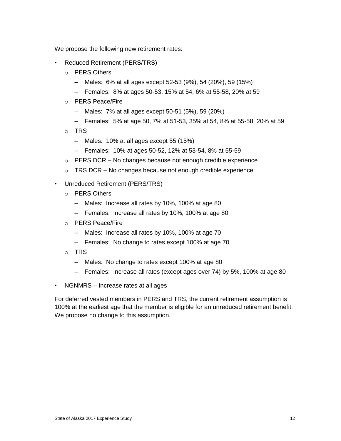We propose the following new retirement rates:

- Reduced Retirement (PERS/TRS)
	- o PERS Others
		- Males: 6% at all ages except 52-53 (9%), 54 (20%), 59 (15%)
		- Females: 8% at ages 50-53, 15% at 54, 6% at 55-58, 20% at 59
	- o PERS Peace/Fire
		- Males: 7% at all ages except 50-51 (5%), 59 (20%)
		- Females: 5% at age 50, 7% at 51-53, 35% at 54, 8% at 55-58, 20% at 59
	- o TRS
		- Males: 10% at all ages except 55 (15%)
		- Females: 10% at ages 50-52, 12% at 53-54, 8% at 55-59
	- $\circ$  PERS DCR No changes because not enough credible experience
	- $\circ$  TRS DCR No changes because not enough credible experience
- Unreduced Retirement (PERS/TRS)
	- o PERS Others
		- Males: Increase all rates by 10%, 100% at age 80
		- Females: Increase all rates by 10%, 100% at age 80
	- o PERS Peace/Fire
		- Males: Increase all rates by 10%, 100% at age 70
		- Females: No change to rates except 100% at age 70
	- o TRS
		- Males: No change to rates except 100% at age 80
		- Females: Increase all rates (except ages over 74) by 5%, 100% at age 80
- NGNMRS Increase rates at all ages

For deferred vested members in PERS and TRS, the current retirement assumption is 100% at the earliest age that the member is eligible for an unreduced retirement benefit. We propose no change to this assumption.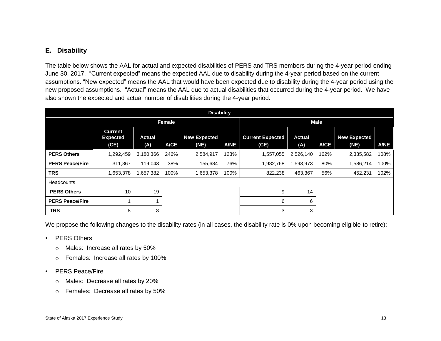# **E. Disability**

The table below shows the AAL for actual and expected disabilities of PERS and TRS members during the 4-year period ending June 30, 2017. "Current expected" means the expected AAL due to disability during the 4-year period based on the current assumptions. "New expected" means the AAL that would have been expected due to disability during the 4-year period using the new proposed assumptions. "Actual" means the AAL due to actual disabilities that occurred during the 4-year period. We have also shown the expected and actual number of disabilities during the 4-year period.

<span id="page-17-0"></span>

|                        | <b>Disability</b>                         |                      |               |                             |             |                                 |                      |      |                             |             |  |  |
|------------------------|-------------------------------------------|----------------------|---------------|-----------------------------|-------------|---------------------------------|----------------------|------|-----------------------------|-------------|--|--|
|                        |                                           |                      | <b>Female</b> |                             |             | <b>Male</b>                     |                      |      |                             |             |  |  |
|                        | <b>Current</b><br><b>Expected</b><br>(CE) | <b>Actual</b><br>(A) | <b>A/CE</b>   | <b>New Expected</b><br>(NE) | <b>A/NE</b> | <b>Current Expected</b><br>(CE) | <b>Actual</b><br>(A) | A/CE | <b>New Expected</b><br>(NE) | <b>A/NE</b> |  |  |
| <b>PERS Others</b>     | 1,292,459                                 | 3,180,366            | 246%          | 2,584,917                   | 123%        | 1,557,055                       | 2,526,140            | 162% | 2,335,582                   | 108%        |  |  |
| <b>PERS Peace/Fire</b> | 311.367                                   | 119,043              | 38%           | 155,684                     | 76%         | 1,982,768                       | 1,593,973            | 80%  | 1,586,214                   | 100%        |  |  |
| <b>TRS</b>             | 1,653,378                                 | 1,657,382            | 100%          | 1,653,378                   | 100%        | 822,238                         | 463,367              | 56%  | 452,231                     | 102%        |  |  |
| <b>Headcounts</b>      |                                           |                      |               |                             |             |                                 |                      |      |                             |             |  |  |
| <b>PERS Others</b>     | 10                                        | 19                   |               |                             |             | 9                               | 14                   |      |                             |             |  |  |
| <b>PERS Peace/Fire</b> |                                           |                      |               |                             |             | 6                               | 6                    |      |                             |             |  |  |
| <b>TRS</b>             | 8                                         | 8                    |               |                             |             | 3                               | 3                    |      |                             |             |  |  |

We propose the following changes to the disability rates (in all cases, the disability rate is 0% upon becoming eligible to retire):

- PERS Others
	- o Males: Increase all rates by 50%
	- o Females: Increase all rates by 100%

#### • PERS Peace/Fire

- o Males: Decrease all rates by 20%
- o Females: Decrease all rates by 50%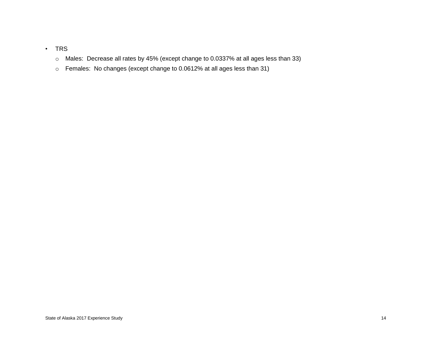## • TRS

- o Males: Decrease all rates by 45% (except change to 0.0337% at all ages less than 33)
- o Females: No changes (except change to 0.0612% at all ages less than 31)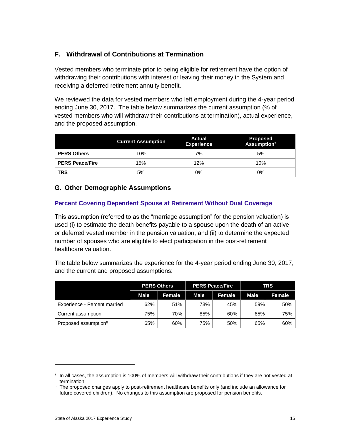# <span id="page-19-0"></span>**F. Withdrawal of Contributions at Termination**

Vested members who terminate prior to being eligible for retirement have the option of withdrawing their contributions with interest or leaving their money in the System and receiving a deferred retirement annuity benefit.

We reviewed the data for vested members who left employment during the 4-year period ending June 30, 2017. The table below summarizes the current assumption (% of vested members who will withdraw their contributions at termination), actual experience, and the proposed assumption.

|                        | <b>Current Assumption</b> | Actual<br><b>Experience</b> | <b>Proposed</b><br>Assumption <sup>7</sup> |
|------------------------|---------------------------|-----------------------------|--------------------------------------------|
| <b>PERS Others</b>     | 10%                       | 7%                          | 5%                                         |
| <b>PERS Peace/Fire</b> | 15%                       | 12%                         | 10%                                        |
| <b>TRS</b>             | 5%                        | 0%                          | 0%                                         |

# <span id="page-19-1"></span>**G. Other Demographic Assumptions**

## **Percent Covering Dependent Spouse at Retirement Without Dual Coverage**

This assumption (referred to as the "marriage assumption" for the pension valuation) is used (i) to estimate the death benefits payable to a spouse upon the death of an active or deferred vested member in the pension valuation, and (ii) to determine the expected number of spouses who are eligible to elect participation in the post-retirement healthcare valuation.

The table below summarizes the experience for the 4-year period ending June 30, 2017, and the current and proposed assumptions:

|                                  |             | <b>PERS Others</b> |      | <b>PERS Peace/Fire</b> | <b>TRS</b>  |        |  |
|----------------------------------|-------------|--------------------|------|------------------------|-------------|--------|--|
|                                  | <b>Male</b> | Female             | Male | Female                 | <b>Male</b> | Female |  |
| Experience - Percent married     | 62%         | 51%                | 73%  | 45%                    | 59%         | 50%    |  |
| Current assumption               | 75%         | 70%                | 85%  | 60%                    | 85%         | 75%    |  |
| Proposed assumption <sup>8</sup> | 65%         | 60%                | 75%  | 50%                    | 65%         | 60%    |  |

 $7$  In all cases, the assumption is 100% of members will withdraw their contributions if they are not vested at termination.

<sup>&</sup>lt;sup>8</sup> The proposed changes apply to post-retirement healthcare benefits only (and include an allowance for future covered children). No changes to this assumption are proposed for pension benefits.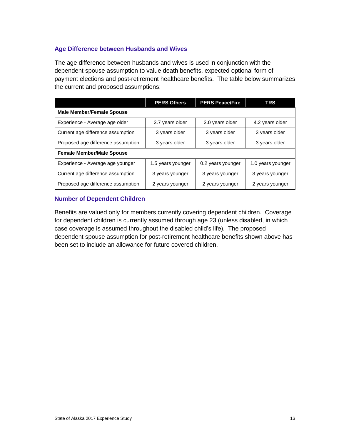#### **Age Difference between Husbands and Wives**

The age difference between husbands and wives is used in conjunction with the dependent spouse assumption to value death benefits, expected optional form of payment elections and post-retirement healthcare benefits. The table below summarizes the current and proposed assumptions:

|                                    | <b>PERS Others</b> | <b>PERS Peace/Fire</b> | <b>TRS</b>        |  |  |
|------------------------------------|--------------------|------------------------|-------------------|--|--|
| <b>Male Member/Female Spouse</b>   |                    |                        |                   |  |  |
| Experience - Average age older     | 3.7 years older    | 3.0 years older        | 4.2 years older   |  |  |
| Current age difference assumption  | 3 years older      | 3 years older          | 3 years older     |  |  |
| Proposed age difference assumption | 3 years older      | 3 years older          | 3 years older     |  |  |
| <b>Female Member/Male Spouse</b>   |                    |                        |                   |  |  |
| Experience - Average age younger   | 1.5 years younger  | 0.2 years younger      | 1.0 years younger |  |  |
| Current age difference assumption  | 3 years younger    | 3 years younger        | 3 years younger   |  |  |
| Proposed age difference assumption | 2 years younger    | 2 years younger        | 2 years younger   |  |  |

#### **Number of Dependent Children**

Benefits are valued only for members currently covering dependent children. Coverage for dependent children is currently assumed through age 23 (unless disabled, in which case coverage is assumed throughout the disabled child's life). The proposed dependent spouse assumption for post-retirement healthcare benefits shown above has been set to include an allowance for future covered children.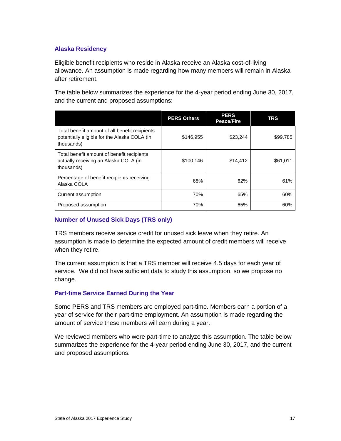#### **Alaska Residency**

Eligible benefit recipients who reside in Alaska receive an Alaska cost-of-living allowance. An assumption is made regarding how many members will remain in Alaska after retirement.

The table below summarizes the experience for the 4-year period ending June 30, 2017, and the current and proposed assumptions:

|                                                                                                              | <b>PERS Others</b> | <b>PERS</b><br><b>Peace/Fire</b> | <b>TRS</b> |
|--------------------------------------------------------------------------------------------------------------|--------------------|----------------------------------|------------|
| Total benefit amount of all benefit recipients<br>potentially eligible for the Alaska COLA (in<br>thousands) | \$146,955          | \$23.244                         | \$99,785   |
| Total benefit amount of benefit recipients<br>actually receiving an Alaska COLA (in<br>thousands)            | \$100,146          | \$14,412                         | \$61,011   |
| Percentage of benefit recipients receiving<br>Alaska COLA                                                    | 68%                | 62%                              | 61%        |
| Current assumption                                                                                           | 70%                | 65%                              | 60%        |
| Proposed assumption                                                                                          | 70%                | 65%                              | 60%        |

#### **Number of Unused Sick Days (TRS only)**

TRS members receive service credit for unused sick leave when they retire. An assumption is made to determine the expected amount of credit members will receive when they retire.

The current assumption is that a TRS member will receive 4.5 days for each year of service. We did not have sufficient data to study this assumption, so we propose no change.

#### **Part-time Service Earned During the Year**

Some PERS and TRS members are employed part-time. Members earn a portion of a year of service for their part-time employment. An assumption is made regarding the amount of service these members will earn during a year.

We reviewed members who were part-time to analyze this assumption. The table below summarizes the experience for the 4-year period ending June 30, 2017, and the current and proposed assumptions.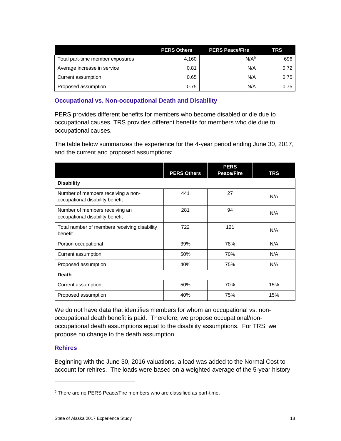|                                  | <b>PERS Others</b> | <b>PERS Peace/Fire</b> | <b>TRS</b> |
|----------------------------------|--------------------|------------------------|------------|
| Total part-time member exposures | 4.160              | N/A <sup>9</sup>       | 696        |
| Average increase in service      | 0.81               | N/A                    | 0.72       |
| Current assumption               | 0.65               | N/A                    | 0.75       |
| Proposed assumption              | 0.75               | N/A                    | 0.75       |

#### **Occupational vs. Non-occupational Death and Disability**

PERS provides different benefits for members who become disabled or die due to occupational causes. TRS provides different benefits for members who die due to occupational causes.

The table below summarizes the experience for the 4-year period ending June 30, 2017, and the current and proposed assumptions:

|                                                                       | <b>PERS Others</b> | <b>PERS</b><br><b>Peace/Fire</b> | TRS |
|-----------------------------------------------------------------------|--------------------|----------------------------------|-----|
| <b>Disability</b>                                                     |                    |                                  |     |
| Number of members receiving a non-<br>occupational disability benefit | 441                | 27                               | N/A |
| Number of members receiving an<br>occupational disability benefit     | 281                | 94                               | N/A |
| Total number of members receiving disability<br>benefit               | 722                | 121                              | N/A |
| Portion occupational                                                  | 39%                | 78%                              | N/A |
| Current assumption                                                    | 50%                | 70%                              | N/A |
| Proposed assumption                                                   | 40%                | 75%                              | N/A |
| <b>Death</b>                                                          |                    |                                  |     |
| Current assumption                                                    | 50%                | 70%                              | 15% |
| Proposed assumption                                                   | 40%                | 75%                              | 15% |

We do not have data that identifies members for whom an occupational vs. nonoccupational death benefit is paid. Therefore, we propose occupational/nonoccupational death assumptions equal to the disability assumptions. For TRS, we propose no change to the death assumption.

#### **Rehires**

Beginning with the June 30, 2016 valuations, a load was added to the Normal Cost to account for rehires. The loads were based on a weighted average of the 5-year history

<sup>&</sup>lt;sup>9</sup> There are no PERS Peace/Fire members who are classified as part-time.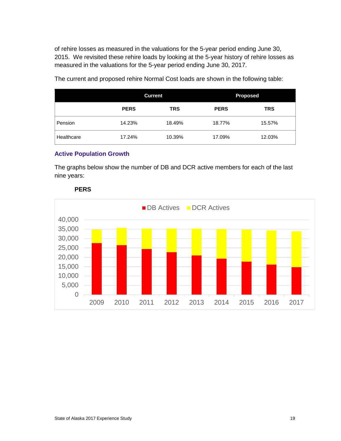of rehire losses as measured in the valuations for the 5-year period ending June 30, 2015. We revisited these rehire loads by looking at the 5-year history of rehire losses as measured in the valuations for the 5-year period ending June 30, 2017.

|            | <b>Current</b> |            | <b>Proposed</b> |            |
|------------|----------------|------------|-----------------|------------|
|            | <b>PERS</b>    | <b>TRS</b> | <b>PERS</b>     | <b>TRS</b> |
| Pension    | 14.23%         | 18.49%     | 18.77%          | 15.57%     |
| Healthcare | 17.24%         | 10.39%     | 17.09%          | 12.03%     |

The current and proposed rehire Normal Cost loads are shown in the following table:

#### **Active Population Growth**

The graphs below show the number of DB and DCR active members for each of the last nine years:



#### **PERS**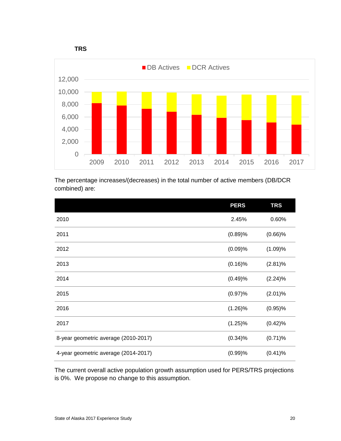



The percentage increases/(decreases) in the total number of active members (DB/DCR combined) are:

|                                      | <b>PERS</b> | <b>TRS</b> |
|--------------------------------------|-------------|------------|
| 2010                                 | 2.45%       | 0.60%      |
| 2011                                 | (0.89)%     | $(0.66)$ % |
| 2012                                 | (0.09)%     | (1.09)%    |
| 2013                                 | $(0.16)$ %  | $(2.81)\%$ |
| 2014                                 | (0.49)%     | (2.24)%    |
| 2015                                 | (0.97)%     | (2.01)%    |
| 2016                                 | $(1.26)\%$  | $(0.95)\%$ |
| 2017                                 | $(1.25)\%$  | (0.42)%    |
| 8-year geometric average (2010-2017) | $(0.34)\%$  | $(0.71)$ % |
| 4-year geometric average (2014-2017) | (0.99)%     | (0.41)%    |

The current overall active population growth assumption used for PERS/TRS projections is 0%. We propose no change to this assumption.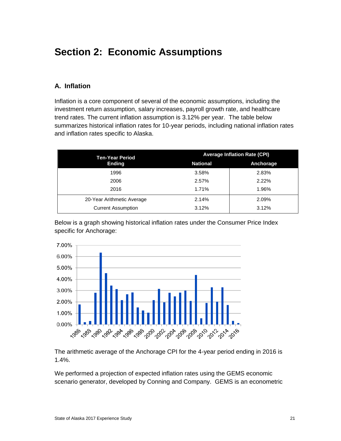# <span id="page-25-0"></span>**Section 2: Economic Assumptions**

# <span id="page-25-1"></span>**A. Inflation**

Inflation is a core component of several of the economic assumptions, including the investment return assumption, salary increases, payroll growth rate, and healthcare trend rates. The current inflation assumption is 3.12% per year. The table below summarizes historical inflation rates for 10-year periods, including national inflation rates and inflation rates specific to Alaska.

| <b>Ten-Year Period</b>     | <b>Average Inflation Rate (CPI)</b> |           |  |  |
|----------------------------|-------------------------------------|-----------|--|--|
| <b>Ending</b>              | <b>National</b>                     | Anchorage |  |  |
| 1996                       | 3.58%                               | 2.83%     |  |  |
| 2006                       | 2.57%                               | 2.22%     |  |  |
| 2016                       | 1.71%                               | 1.96%     |  |  |
| 20-Year Arithmetic Average | 2.14%                               | 2.09%     |  |  |
| <b>Current Assumption</b>  | 3.12%                               | 3.12%     |  |  |

Below is a graph showing historical inflation rates under the Consumer Price Index specific for Anchorage:



The arithmetic average of the Anchorage CPI for the 4-year period ending in 2016 is 1.4%.

We performed a projection of expected inflation rates using the GEMS economic scenario generator, developed by Conning and Company. GEMS is an econometric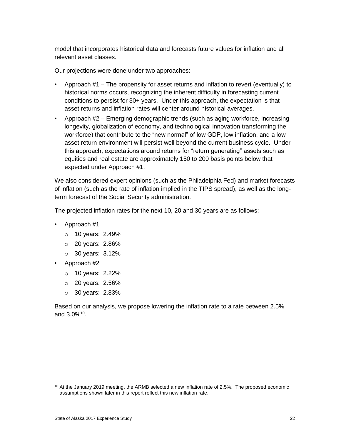model that incorporates historical data and forecasts future values for inflation and all relevant asset classes.

Our projections were done under two approaches:

- Approach #1 The propensity for asset returns and inflation to revert (eventually) to historical norms occurs, recognizing the inherent difficulty in forecasting current conditions to persist for 30+ years. Under this approach, the expectation is that asset returns and inflation rates will center around historical averages.
- Approach #2 Emerging demographic trends (such as aging workforce, increasing longevity, globalization of economy, and technological innovation transforming the workforce) that contribute to the "new normal" of low GDP, low inflation, and a low asset return environment will persist well beyond the current business cycle. Under this approach, expectations around returns for "return generating" assets such as equities and real estate are approximately 150 to 200 basis points below that expected under Approach #1.

We also considered expert opinions (such as the Philadelphia Fed) and market forecasts of inflation (such as the rate of inflation implied in the TIPS spread), as well as the longterm forecast of the Social Security administration.

The projected inflation rates for the next 10, 20 and 30 years are as follows:

- Approach #1
	- o 10 years: 2.49%
	- o 20 years: 2.86%
	- o 30 years: 3.12%
- Approach #2

 $\overline{a}$ 

- o 10 years: 2.22%
- o 20 years: 2.56%
- o 30 years: 2.83%

Based on our analysis, we propose lowering the inflation rate to a rate between 2.5% and 3.0%<sup>10</sup>.

 $10$  At the January 2019 meeting, the ARMB selected a new inflation rate of 2.5%. The proposed economic assumptions shown later in this report reflect this new inflation rate.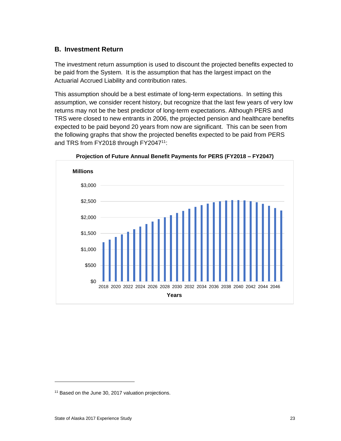#### <span id="page-27-0"></span>**B. Investment Return**

The investment return assumption is used to discount the projected benefits expected to be paid from the System. It is the assumption that has the largest impact on the Actuarial Accrued Liability and contribution rates.

This assumption should be a best estimate of long-term expectations. In setting this assumption, we consider recent history, but recognize that the last few years of very low returns may not be the best predictor of long-term expectations. Although PERS and TRS were closed to new entrants in 2006, the projected pension and healthcare benefits expected to be paid beyond 20 years from now are significant. This can be seen from the following graphs that show the projected benefits expected to be paid from PERS and TRS from FY2018 through FY2047<sup>11</sup>:



**Projection of Future Annual Benefit Payments for PERS (FY2018 – FY2047)**

<sup>&</sup>lt;sup>11</sup> Based on the June 30, 2017 valuation projections.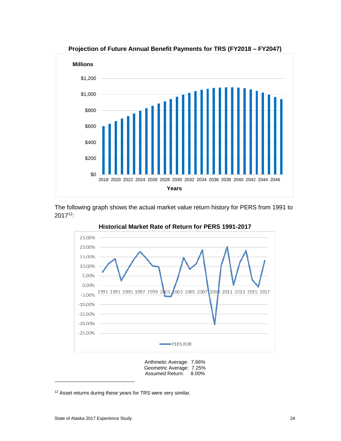

The following graph shows the actual market value return history for PERS from 1991 to 2017<sup>12</sup>:



**Historical Market Rate of Return for PERS 1991-2017**

Arithmetic Average: 7.66% Geometric Average: 7.25% Assumed Return: 8.00%

<sup>&</sup>lt;sup>12</sup> Asset returns during these years for TRS were very similar.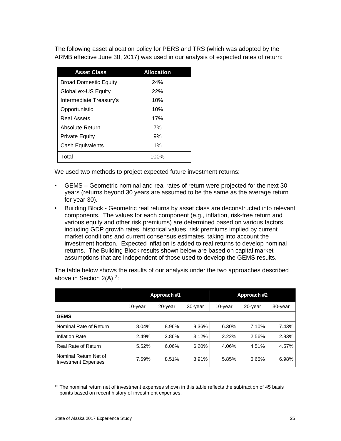The following asset allocation policy for PERS and TRS (which was adopted by the ARMB effective June 30, 2017) was used in our analysis of expected rates of return:

| <b>Asset Class</b>           | <b>Allocation</b> |
|------------------------------|-------------------|
| <b>Broad Domestic Equity</b> | 24%               |
| Global ex-US Equity          | 22%               |
| Intermediate Treasury's      | 10%               |
| Opportunistic                | 10%               |
| Real Assets                  | 17%               |
| Absolute Return              | 7%                |
| Private Equity               | 9%                |
| Cash Equivalents             | 1%                |
| Total                        | 100%              |

We used two methods to project expected future investment returns:

- GEMS Geometric nominal and real rates of return were projected for the next 30 years (returns beyond 30 years are assumed to be the same as the average return for year 30).
- Building Block Geometric real returns by asset class are deconstructed into relevant components. The values for each component (e.g., inflation, risk-free return and various equity and other risk premiums) are determined based on various factors, including GDP growth rates, historical values, risk premiums implied by current market conditions and current consensus estimates, taking into account the investment horizon. Expected inflation is added to real returns to develop nominal returns. The Building Block results shown below are based on capital market assumptions that are independent of those used to develop the GEMS results.

The table below shows the results of our analysis under the two approaches described above in Section  $2(A)^{13}$ :

|                                                     | Approach #1 |         |         |         | Approach #2 |         |
|-----------------------------------------------------|-------------|---------|---------|---------|-------------|---------|
|                                                     | 10-year     | 20-year | 30-year | 10-year | 20-year     | 30-year |
| <b>GEMS</b>                                         |             |         |         |         |             |         |
| Nominal Rate of Return                              | 8.04%       | 8.96%   | 9.36%   | 6.30%   | 7.10%       | 7.43%   |
| <b>Inflation Rate</b>                               | 2.49%       | 2.86%   | 3.12%   | 2.22%   | 2.56%       | 2.83%   |
| Real Rate of Return                                 | 5.52%       | 6.06%   | 6.20%   | 4.06%   | 4.51%       | 4.57%   |
| Nominal Return Net of<br><b>Investment Expenses</b> | 7.59%       | 8.51%   | 8.91%   | 5.85%   | 6.65%       | 6.98%   |

<sup>&</sup>lt;sup>13</sup> The nominal return net of investment expenses shown in this table reflects the subtraction of 45 basis points based on recent history of investment expenses.

 $\overline{a}$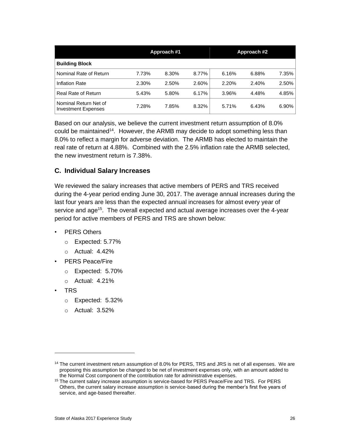|                                                     | Approach #1 |       |       |       | Approach #2 |       |
|-----------------------------------------------------|-------------|-------|-------|-------|-------------|-------|
| <b>Building Block</b>                               |             |       |       |       |             |       |
| Nominal Rate of Return                              | 7.73%       | 8.30% | 8.77% | 6.16% | 6.88%       | 7.35% |
| <b>Inflation Rate</b>                               | 2.30%       | 2.50% | 2.60% | 2.20% | 2.40%       | 2.50% |
| <b>Real Rate of Return</b>                          | 5.43%       | 5.80% | 6.17% | 3.96% | 4.48%       | 4.85% |
| Nominal Return Net of<br><b>Investment Expenses</b> | 7.28%       | 7.85% | 8.32% | 5.71% | 6.43%       | 6.90% |

Based on our analysis, we believe the current investment return assumption of 8.0% could be maintained<sup>14</sup>. However, the ARMB may decide to adopt something less than 8.0% to reflect a margin for adverse deviation. The ARMB has elected to maintain the real rate of return at 4.88%. Combined with the 2.5% inflation rate the ARMB selected, the new investment return is 7.38%.

## <span id="page-30-0"></span>**C. Individual Salary Increases**

We reviewed the salary increases that active members of PERS and TRS received during the 4-year period ending June 30, 2017. The average annual increases during the last four years are less than the expected annual increases for almost every year of service and age<sup>15</sup>. The overall expected and actual average increases over the 4-year period for active members of PERS and TRS are shown below:

- PERS Others
	- o Expected: 5.77%
	- o Actual: 4.42%
- PERS Peace/Fire
	- o Expected: 5.70%
	- o Actual: 4.21%
- TRS

- o Expected: 5.32%
- o Actual: 3.52%

<sup>&</sup>lt;sup>14</sup> The current investment return assumption of 8.0% for PERS, TRS and JRS is net of all expenses. We are proposing this assumption be changed to be net of investment expenses only, with an amount added to the Normal Cost component of the contribution rate for administrative expenses.

<sup>&</sup>lt;sup>15</sup> The current salary increase assumption is service-based for PERS Peace/Fire and TRS. For PERS Others, the current salary increase assumption is service-based during the member's first five years of service, and age-based thereafter.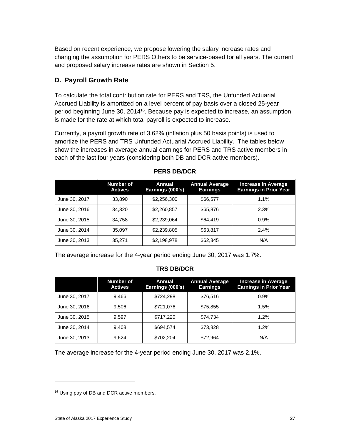Based on recent experience, we propose lowering the salary increase rates and changing the assumption for PERS Others to be service-based for all years. The current and proposed salary increase rates are shown in Section 5.

# <span id="page-31-0"></span>**D. Payroll Growth Rate**

To calculate the total contribution rate for PERS and TRS, the Unfunded Actuarial Accrued Liability is amortized on a level percent of pay basis over a closed 25-year period beginning June 30, 2014<sup>16</sup>. Because pay is expected to increase, an assumption is made for the rate at which total payroll is expected to increase.

Currently, a payroll growth rate of 3.62% (inflation plus 50 basis points) is used to amortize the PERS and TRS Unfunded Actuarial Accrued Liability. The tables below show the increases in average annual earnings for PERS and TRS active members in each of the last four years (considering both DB and DCR active members).

|               | <b>Number of</b><br><b>Actives</b> | Annual<br>Earnings (000's) | <b>Annual Average</b><br><b>Earnings</b> | <b>Increase in Average</b><br><b>Earnings in Prior Year</b> |
|---------------|------------------------------------|----------------------------|------------------------------------------|-------------------------------------------------------------|
| June 30, 2017 | 33,890                             | \$2,256,300                | \$66,577                                 | $1.1\%$                                                     |
| June 30, 2016 | 34.320                             | \$2,260,857                | \$65,876                                 | 2.3%                                                        |
| June 30, 2015 | 34.758                             | \$2,239,064                | \$64,419                                 | 0.9%                                                        |
| June 30, 2014 | 35.097                             | \$2,239,805                | \$63,817                                 | 2.4%                                                        |
| June 30, 2013 | 35,271                             | \$2,198,978                | \$62,345                                 | N/A                                                         |

## **PERS DB/DCR**

The average increase for the 4-year period ending June 30, 2017 was 1.7%.

## **TRS DB/DCR**

|               | <b>Number of</b><br><b>Actives</b> | Annual<br>Earnings (000's) | <b>Annual Average</b><br><b>Earnings</b> | <b>Increase in Average</b><br><b>Earnings in Prior Year</b> |
|---------------|------------------------------------|----------------------------|------------------------------------------|-------------------------------------------------------------|
| June 30, 2017 | 9.466                              | \$724,298                  | \$76,516                                 | 0.9%                                                        |
| June 30, 2016 | 9.506                              | \$721,076                  | \$75,855                                 | 1.5%                                                        |
| June 30, 2015 | 9.597                              | \$717,220                  | \$74,734                                 | 1.2%                                                        |
| June 30, 2014 | 9.408                              | \$694,574                  | \$73,828                                 | 1.2%                                                        |
| June 30, 2013 | 9,624                              | \$702,204                  | \$72,964                                 | N/A                                                         |

The average increase for the 4-year period ending June 30, 2017 was 2.1%.

<sup>&</sup>lt;sup>16</sup> Using pay of DB and DCR active members.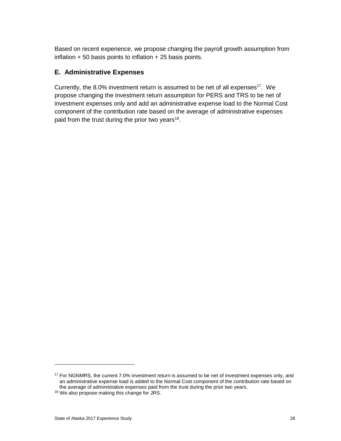Based on recent experience, we propose changing the payroll growth assumption from inflation  $+50$  basis points to inflation  $+25$  basis points.

# <span id="page-32-0"></span>**E. Administrative Expenses**

Currently, the 8.0% investment return is assumed to be net of all expenses<sup>17</sup>. We propose changing the investment return assumption for PERS and TRS to be net of investment expenses only and add an administrative expense load to the Normal Cost component of the contribution rate based on the average of administrative expenses paid from the trust during the prior two years<sup>18</sup>.

<sup>&</sup>lt;sup>17</sup> For NGNMRS, the current 7.0% investment return is assumed to be net of investment expenses only, and an administrative expense load is added to the Normal Cost component of the contribution rate based on the average of administrative expenses paid from the trust during the prior two years.

<sup>18</sup> We also propose making this change for JRS.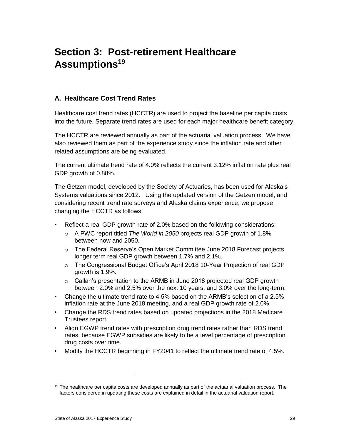# <span id="page-33-0"></span>**Section 3: Post-retirement Healthcare Assumptions<sup>19</sup>**

# <span id="page-33-1"></span>**A. Healthcare Cost Trend Rates**

Healthcare cost trend rates (HCCTR) are used to project the baseline per capita costs into the future. Separate trend rates are used for each major healthcare benefit category.

The HCCTR are reviewed annually as part of the actuarial valuation process. We have also reviewed them as part of the experience study since the inflation rate and other related assumptions are being evaluated.

The current ultimate trend rate of 4.0% reflects the current 3.12% inflation rate plus real GDP growth of 0.88%.

The Getzen model, developed by the Society of Actuaries, has been used for Alaska's Systems valuations since 2012. Using the updated version of the Getzen model, and considering recent trend rate surveys and Alaska claims experience, we propose changing the HCCTR as follows:

- Reflect a real GDP growth rate of 2.0% based on the following considerations:
	- o A PWC report titled *The World in 2050* projects real GDP growth of 1.8% between now and 2050.
	- o The Federal Reserve's Open Market Committee June 2018 Forecast projects longer term real GDP growth between 1.7% and 2.1%.
	- o The Congressional Budget Office's April 2018 10-Year Projection of real GDP growth is 1.9%.
	- $\circ$  Callan's presentation to the ARMB in June 2018 projected real GDP growth between 2.0% and 2.5% over the next 10 years, and 3.0% over the long-term.
- Change the ultimate trend rate to 4.5% based on the ARMB's selection of a 2.5% inflation rate at the June 2018 meeting, and a real GDP growth rate of 2.0%.
- Change the RDS trend rates based on updated projections in the 2018 Medicare Trustees report.
- Align EGWP trend rates with prescription drug trend rates rather than RDS trend rates, because EGWP subsidies are likely to be a level percentage of prescription drug costs over time.
- Modify the HCCTR beginning in FY2041 to reflect the ultimate trend rate of 4.5%.

 $\overline{a}$ 

 $19$  The healthcare per capita costs are developed annually as part of the actuarial valuation process. The factors considered in updating these costs are explained in detail in the actuarial valuation report.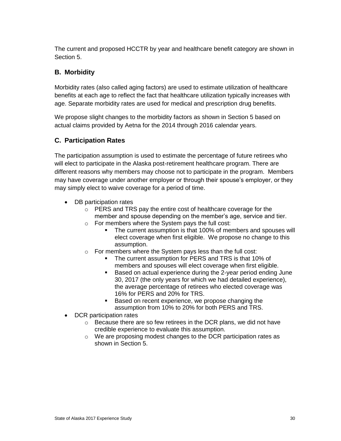The current and proposed HCCTR by year and healthcare benefit category are shown in Section 5.

# <span id="page-34-0"></span>**B. Morbidity**

Morbidity rates (also called aging factors) are used to estimate utilization of healthcare benefits at each age to reflect the fact that healthcare utilization typically increases with age. Separate morbidity rates are used for medical and prescription drug benefits.

We propose slight changes to the morbidity factors as shown in Section 5 based on actual claims provided by Aetna for the 2014 through 2016 calendar years.

# <span id="page-34-1"></span>**C. Participation Rates**

The participation assumption is used to estimate the percentage of future retirees who will elect to participate in the Alaska post-retirement healthcare program. There are different reasons why members may choose not to participate in the program. Members may have coverage under another employer or through their spouse's employer, or they may simply elect to waive coverage for a period of time.

- DB participation rates
	- o PERS and TRS pay the entire cost of healthcare coverage for the member and spouse depending on the member's age, service and tier.
	- o For members where the System pays the full cost:
		- The current assumption is that 100% of members and spouses will elect coverage when first eligible. We propose no change to this assumption.
	- o For members where the System pays less than the full cost:
		- The current assumption for PERS and TRS is that 10% of members and spouses will elect coverage when first eligible.
		- Based on actual experience during the 2-year period ending June 30, 2017 (the only years for which we had detailed experience), the average percentage of retirees who elected coverage was 16% for PERS and 20% for TRS.
		- Based on recent experience, we propose changing the assumption from 10% to 20% for both PERS and TRS.
- DCR participation rates
	- o Because there are so few retirees in the DCR plans, we did not have credible experience to evaluate this assumption.
	- o We are proposing modest changes to the DCR participation rates as shown in Section 5.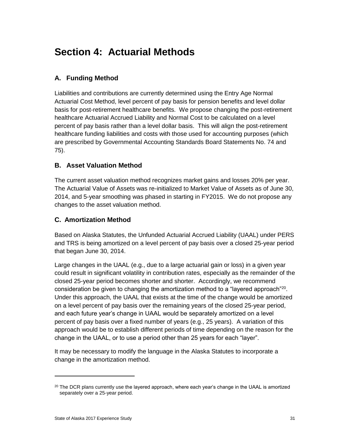# <span id="page-35-0"></span>**Section 4: Actuarial Methods**

# <span id="page-35-1"></span>**A. Funding Method**

Liabilities and contributions are currently determined using the Entry Age Normal Actuarial Cost Method, level percent of pay basis for pension benefits and level dollar basis for post-retirement healthcare benefits. We propose changing the post-retirement healthcare Actuarial Accrued Liability and Normal Cost to be calculated on a level percent of pay basis rather than a level dollar basis. This will align the post-retirement healthcare funding liabilities and costs with those used for accounting purposes (which are prescribed by Governmental Accounting Standards Board Statements No. 74 and 75).

# <span id="page-35-2"></span>**B. Asset Valuation Method**

The current asset valuation method recognizes market gains and losses 20% per year. The Actuarial Value of Assets was re-initialized to Market Value of Assets as of June 30, 2014, and 5-year smoothing was phased in starting in FY2015. We do not propose any changes to the asset valuation method.

# <span id="page-35-3"></span>**C. Amortization Method**

Based on Alaska Statutes, the Unfunded Actuarial Accrued Liability (UAAL) under PERS and TRS is being amortized on a level percent of pay basis over a closed 25-year period that began June 30, 2014.

Large changes in the UAAL (e.g., due to a large actuarial gain or loss) in a given year could result in significant volatility in contribution rates, especially as the remainder of the closed 25-year period becomes shorter and shorter. Accordingly, we recommend consideration be given to changing the amortization method to a "layered approach"<sup>20</sup>. Under this approach, the UAAL that exists at the time of the change would be amortized on a level percent of pay basis over the remaining years of the closed 25-year period, and each future year's change in UAAL would be separately amortized on a level percent of pay basis over a fixed number of years (e.g., 25 years). A variation of this approach would be to establish different periods of time depending on the reason for the change in the UAAL, or to use a period other than 25 years for each "layer".

It may be necessary to modify the language in the Alaska Statutes to incorporate a change in the amortization method.

 $\overline{a}$ 

 $20$  The DCR plans currently use the layered approach, where each year's change in the UAAL is amortized separately over a 25-year period.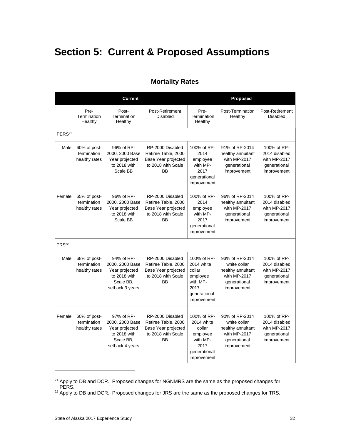# <span id="page-36-0"></span>**Section 5: Current & Proposed Assumptions**

|                    |                                              | <b>Current</b>                                                                                  |                                                                                                   |                                                                                                    | Proposed                                                                                           |                                                                             |
|--------------------|----------------------------------------------|-------------------------------------------------------------------------------------------------|---------------------------------------------------------------------------------------------------|----------------------------------------------------------------------------------------------------|----------------------------------------------------------------------------------------------------|-----------------------------------------------------------------------------|
|                    | Pre-<br>Termination<br>Healthy               | Post-<br>Termination<br>Healthy                                                                 | Post-Retirement<br><b>Disabled</b>                                                                | Pre-<br>Termination<br>Healthy                                                                     | Post-Termination<br>Healthy                                                                        | Post-Retirement<br><b>Disabled</b>                                          |
| PERS <sup>21</sup> |                                              |                                                                                                 |                                                                                                   |                                                                                                    |                                                                                                    |                                                                             |
| Male               | 60% of post-<br>termination<br>healthy rates | 96% of RP-<br>2000, 2000 Base<br>Year projected<br>to 2018 with<br>Scale BB                     | RP-2000 Disabled<br>Retiree Table, 2000<br>Base Year projected<br>to 2018 with Scale<br>BB        | 100% of RP-<br>2014<br>employee<br>with MP-<br>2017<br>generational<br>improvement                 | 91% of RP-2014<br>healthy annuitant<br>with MP-2017<br>generational<br>improvement                 | 100% of RP-<br>2014 disabled<br>with MP-2017<br>generational<br>improvement |
| Female             | 65% of post-<br>termination<br>healthy rates | 96% of RP-<br>2000, 2000 Base<br>Year projected<br>to 2018 with<br>Scale BB                     | RP-2000 Disabled<br>Retiree Table, 2000<br>Base Year projected<br>to 2018 with Scale<br>BB        | 100% of RP-<br>2014<br>employee<br>with MP-<br>2017<br>generational<br>improvement                 | 96% of RP-2014<br>healthy annuitant<br>with MP-2017<br>generational<br>improvement                 | 100% of RP-<br>2014 disabled<br>with MP-2017<br>generational<br>improvement |
| TRS <sup>22</sup>  |                                              |                                                                                                 |                                                                                                   |                                                                                                    |                                                                                                    |                                                                             |
| Male               | 68% of post-<br>termination<br>healthy rates | 94% of RP-<br>2000, 2000 Base<br>Year projected<br>to 2018 with<br>Scale BB.<br>setback 3 years | RP-2000 Disabled<br>Retiree Table, 2000<br>Base Year projected<br>to 2018 with Scale<br><b>BB</b> | 100% of RP-<br>2014 white<br>collar<br>employee<br>with MP-<br>2017<br>generational<br>improvement | 93% of RP-2014<br>white collar<br>healthy annuitant<br>with MP-2017<br>generational<br>improvement | 100% of RP-<br>2014 disabled<br>with MP-2017<br>generational<br>improvement |
| Female             | 60% of post-<br>termination<br>healthy rates | 97% of RP-<br>2000, 2000 Base<br>Year projected<br>to 2018 with<br>Scale BB,<br>setback 4 years | RP-2000 Disabled<br>Retiree Table, 2000<br>Base Year projected<br>to 2018 with Scale<br><b>BB</b> | 100% of RP-<br>2014 white<br>collar<br>employee<br>with MP-<br>2017<br>generational<br>improvement | 90% of RP-2014<br>white collar<br>healthy annuitant<br>with MP-2017<br>generational<br>improvement | 100% of RP-<br>2014 disabled<br>with MP-2017<br>generational<br>improvement |

# **Mortality Rates**

<sup>&</sup>lt;sup>21</sup> Apply to DB and DCR. Proposed changes for NGNMRS are the same as the proposed changes for PERS.

<sup>&</sup>lt;sup>22</sup> Apply to DB and DCR. Proposed changes for JRS are the same as the proposed changes for TRS.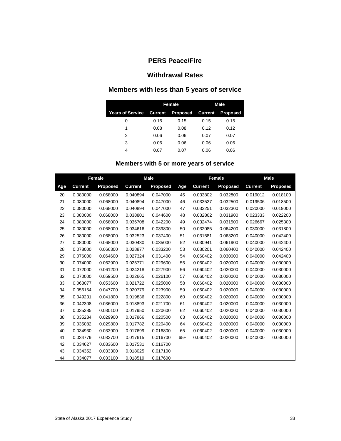# **Withdrawal Rates**

# **Members with less than 5 years of service**

|                  |      | Female                          | <b>Male</b> |                 |  |  |
|------------------|------|---------------------------------|-------------|-----------------|--|--|
| Years of Service |      | <b>Current Proposed Current</b> |             | <b>Proposed</b> |  |  |
|                  | 0.15 | 0.15                            | 0.15        | 0.15            |  |  |
|                  | 0.08 | 0.08                            | 0.12        | 0.12            |  |  |
| 2                | 0.06 | 0.06                            | 0.07        | 0.07            |  |  |
| 3                | 0.06 | 0.06                            | 0.06        | 0.06            |  |  |
| 4                | 0.07 | 0.07                            | 0.06        | 0.06            |  |  |

# **Members with 5 or more years of service**

|     | Female         |                 | <b>Male</b>    |                 |       | Female         |          | <b>Male</b>    |                 |
|-----|----------------|-----------------|----------------|-----------------|-------|----------------|----------|----------------|-----------------|
| Age | <b>Current</b> | <b>Proposed</b> | <b>Current</b> | <b>Proposed</b> | Age   | <b>Current</b> | Proposed | <b>Current</b> | <b>Proposed</b> |
| 20  | 0.080000       | 0.068000        | 0.040894       | 0.047000        | 45    | 0.033802       | 0.032800 | 0.019012       | 0.018100        |
| 21  | 0.080000       | 0.068000        | 0.040894       | 0.047000        | 46    | 0.033527       | 0.032500 | 0.019506       | 0.018500        |
| 22  | 0.080000       | 0.068000        | 0.040894       | 0.047000        | 47    | 0.033251       | 0.032300 | 0.020000       | 0.019000        |
| 23  | 0.080000       | 0.068000        | 0.038801       | 0.044600        | 48    | 0.032862       | 0.031900 | 0.023333       | 0.022200        |
| 24  | 0.080000       | 0.068000        | 0.036708       | 0.042200        | 49    | 0.032474       | 0.031500 | 0.026667       | 0.025300        |
| 25  | 0.080000       | 0.068000        | 0.034616       | 0.039800        | 50    | 0.032085       | 0.064200 | 0.030000       | 0.031800        |
| 26  | 0.080000       | 0.068000        | 0.032523       | 0.037400        | 51    | 0.031581       | 0.063200 | 0.040000       | 0.042400        |
| 27  | 0.080000       | 0.068000        | 0.030430       | 0.035000        | 52    | 0.030941       | 0.061900 | 0.040000       | 0.042400        |
| 28  | 0.078000       | 0.066300        | 0.028877       | 0.033200        | 53    | 0.030201       | 0.060400 | 0.040000       | 0.042400        |
| 29  | 0.076000       | 0.064600        | 0.027324       | 0.031400        | 54    | 0.060402       | 0.030000 | 0.040000       | 0.042400        |
| 30  | 0.074000       | 0.062900        | 0.025771       | 0.029600        | 55    | 0.060402       | 0.020000 | 0.040000       | 0.030000        |
| 31  | 0.072000       | 0.061200        | 0.024218       | 0.027900        | 56    | 0.060402       | 0.020000 | 0.040000       | 0.030000        |
| 32  | 0.070000       | 0.059500        | 0.022665       | 0.026100        | 57    | 0.060402       | 0.020000 | 0.040000       | 0.030000        |
| 33  | 0.063077       | 0.053600        | 0.021722       | 0.025000        | 58    | 0.060402       | 0.020000 | 0.040000       | 0.030000        |
| 34  | 0.056154       | 0.047700        | 0.020779       | 0.023900        | 59    | 0.060402       | 0.020000 | 0.040000       | 0.030000        |
| 35  | 0.049231       | 0.041800        | 0.019836       | 0.022800        | 60    | 0.060402       | 0.020000 | 0.040000       | 0.030000        |
| 36  | 0.042308       | 0.036000        | 0.018893       | 0.021700        | 61    | 0.060402       | 0.020000 | 0.040000       | 0.030000        |
| 37  | 0.035385       | 0.030100        | 0.017950       | 0.020600        | 62    | 0.060402       | 0.020000 | 0.040000       | 0.030000        |
| 38  | 0.035234       | 0.029900        | 0.017866       | 0.020500        | 63    | 0.060402       | 0.020000 | 0.040000       | 0.030000        |
| 39  | 0.035082       | 0.029800        | 0.017782       | 0.020400        | 64    | 0.060402       | 0.020000 | 0.040000       | 0.030000        |
| 40  | 0.034930       | 0.033900        | 0.017699       | 0.016800        | 65    | 0.060402       | 0.020000 | 0.040000       | 0.030000        |
| 41  | 0.034779       | 0.033700        | 0.017615       | 0.016700        | $65+$ | 0.060402       | 0.020000 | 0.040000       | 0.030000        |
| 42  | 0.034627       | 0.033600        | 0.017531       | 0.016700        |       |                |          |                |                 |
| 43  | 0.034352       | 0.033300        | 0.018025       | 0.017100        |       |                |          |                |                 |
| 44  | 0.034077       | 0.033100        | 0.018519       | 0.017600        |       |                |          |                |                 |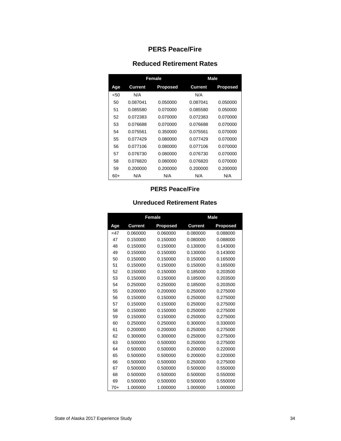# **Reduced Retirement Rates**

|      |          | Female   | Male     |                 |  |  |
|------|----------|----------|----------|-----------------|--|--|
| Age  | Current  | Proposed | Current  | <b>Proposed</b> |  |  |
| < 50 | N/A      |          | N/A      |                 |  |  |
| 50   | 0.087041 | 0.050000 | 0.087041 | 0.050000        |  |  |
| 51   | 0.085580 | 0.070000 | 0.085580 | 0.050000        |  |  |
| 52   | 0.072383 | 0.070000 | 0.072383 | 0.070000        |  |  |
| 53   | 0.076688 | 0.070000 | 0.076688 | 0.070000        |  |  |
| 54   | 0.075561 | 0.350000 | 0.075561 | 0.070000        |  |  |
| 55   | 0.077429 | 0.080000 | 0.077429 | 0.070000        |  |  |
| 56   | 0.077106 | 0.080000 | 0.077106 | 0.070000        |  |  |
| 57   | 0.076730 | 0.080000 | 0.076730 | 0.070000        |  |  |
| 58   | 0.076820 | 0.080000 | 0.076820 | 0.070000        |  |  |
| 59   | 0.200000 | 0.200000 | 0.200000 | 0.200000        |  |  |
| 60+  | N/A      | N/A      | N/A      | N/A             |  |  |

#### **PERS Peace/Fire**

# **Unreduced Retirement Rates**

|        |                | Female   |                | <b>Male</b> |
|--------|----------------|----------|----------------|-------------|
| Age    | <b>Current</b> | Proposed | <b>Current</b> | Proposed    |
| $<$ 47 | 0.060000       | 0.060000 | 0.080000       | 0.088000    |
| 47     | 0.150000       | 0.150000 | 0.080000       | 0.088000    |
| 48     | 0.150000       | 0.150000 | 0.130000       | 0.143000    |
| 49     | 0.150000       | 0.150000 | 0.130000       | 0.143000    |
| 50     | 0.150000       | 0.150000 | 0.150000       | 0.165000    |
| 51     | 0.150000       | 0.150000 | 0.150000       | 0.165000    |
| 52     | 0.150000       | 0.150000 | 0.185000       | 0.203500    |
| 53     | 0.150000       | 0.150000 | 0.185000       | 0.203500    |
| 54     | 0.250000       | 0.250000 | 0.185000       | 0.203500    |
| 55     | 0.200000       | 0.200000 | 0.250000       | 0.275000    |
| 56     | 0.150000       | 0.150000 | 0.250000       | 0.275000    |
| 57     | 0.150000       | 0.150000 | 0.250000       | 0.275000    |
| 58     | 0.150000       | 0.150000 | 0.250000       | 0.275000    |
| 59     | 0.150000       | 0.150000 | 0.250000       | 0.275000    |
| 60     | 0.250000       | 0.250000 | 0.300000       | 0.330000    |
| 61     | 0.200000       | 0.200000 | 0.250000       | 0.275000    |
| 62     | 0.300000       | 0.300000 | 0.250000       | 0.275000    |
| 63     | 0.500000       | 0.500000 | 0.250000       | 0.275000    |
| 64     | 0.500000       | 0.500000 | 0.200000       | 0.220000    |
| 65     | 0.500000       | 0.500000 | 0.200000       | 0.220000    |
| 66     | 0.500000       | 0.500000 | 0.250000       | 0.275000    |
| 67     | 0.500000       | 0.500000 | 0.500000       | 0.550000    |
| 68     | 0.500000       | 0.500000 | 0.500000       | 0.550000    |
| 69     | 0.500000       | 0.500000 | 0.500000       | 0.550000    |
| $70+$  | 1.000000       | 1.000000 | 1.000000       | 1.000000    |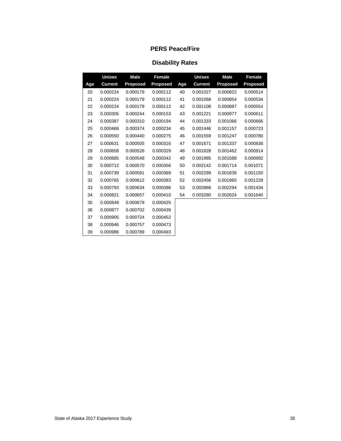| <b>Disability Rates</b> |
|-------------------------|
|-------------------------|

|     | <b>Unisex</b>  | <b>Male</b>     | Female          |     | <b>Unisex</b>  | <b>Male</b>     | <b>Female</b>   |
|-----|----------------|-----------------|-----------------|-----|----------------|-----------------|-----------------|
| Age | <b>Current</b> | <b>Proposed</b> | <b>Proposed</b> | Age | <b>Current</b> | <b>Proposed</b> | <b>Proposed</b> |
| 20  | 0.000224       | 0.000179        | 0.000112        | 40  | 0.001027       | 0.000822        | 0.000514        |
| 21  | 0.000224       | 0.000179        | 0.000112        | 41  | 0.001068       | 0.000854        | 0.000534        |
| 22  | 0.000224       | 0.000179        | 0.000112        | 42  | 0.001108       | 0.000887        | 0.000554        |
| 23  | 0.000305       | 0.000244        | 0.000153        | 43  | 0.001221       | 0.000977        | 0.000611        |
| 24  | 0.000387       | 0.000310        | 0.000194        | 44  | 0.001333       | 0.001066        | 0.000666        |
| 25  | 0.000468       | 0.000374        | 0.000234        | 45  | 0.001446       | 0.001157        | 0.000723        |
| 26  | 0.000550       | 0.000440        | 0.000275        | 46  | 0.001559       | 0.001247        | 0.000780        |
| 27  | 0.000631       | 0.000505        | 0.000316        | 47  | 0.001671       | 0.001337        | 0.000836        |
| 28  | 0.000658       | 0.000526        | 0.000329        | 48  | 0.001828       | 0.001462        | 0.000914        |
| 29  | 0.000685       | 0.000548        | 0.000342        | 49  | 0.001985       | 0.001588        | 0.000992        |
| 30  | 0.000712       | 0.000570        | 0.000356        | 50  | 0.002142       | 0.001714        | 0.001071        |
| 31  | 0.000739       | 0.000591        | 0.000369        | 51  | 0.002299       | 0.001839        | 0.001150        |
| 32  | 0.000765       | 0.000612        | 0.000383        | 52  | 0.002456       | 0.001965        | 0.001228        |
| 33  | 0.000793       | 0.000634        | 0.000396        | 53  | 0.002868       | 0.002294        | 0.001434        |
| 34  | 0.000821       | 0.000657        | 0.000410        | 54  | 0.003280       | 0.002624        | 0.001640        |
| 35  | 0.000849       | 0.000679        | 0.000425        |     |                |                 |                 |
| 36  | 0.000877       | 0.000702        | 0.000439        |     |                |                 |                 |
| 37  | 0.000905       | 0.000724        | 0.000452        |     |                |                 |                 |
| 38  | 0.000946       | 0.000757        | 0.000473        |     |                |                 |                 |
| 39  | 0.000986       | 0.000789        | 0.000493        |     |                |                 |                 |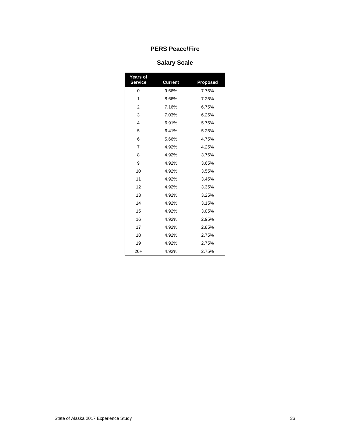# **Salary Scale**

| Years of<br><b>Service</b> | <b>Current</b> | <b>Proposed</b> |
|----------------------------|----------------|-----------------|
| 0                          | 9.66%          | 7.75%           |
| 1                          | 8.66%          | 7.25%           |
| $\overline{2}$             | 7.16%          | 6.75%           |
| 3                          | 7.03%          | 6.25%           |
| $\overline{4}$             | 6.91%          | 5.75%           |
| 5                          | 6.41%          | 5.25%           |
| 6                          | 5.66%          | 4.75%           |
| $\overline{7}$             | 4.92%          | 4.25%           |
| 8                          | 4.92%          | 3.75%           |
| 9                          | 4.92%          | 3.65%           |
| 10                         | 4.92%          | 3.55%           |
| 11                         | 4.92%          | 3.45%           |
| 12                         | 4.92%          | 3.35%           |
| 13                         | 4.92%          | 3.25%           |
| 14                         | 4.92%          | 3.15%           |
| 15                         | 4.92%          | 3.05%           |
| 16                         | 4.92%          | 2.95%           |
| 17                         | 4.92%          | 2.85%           |
| 18                         | 4.92%          | 2.75%           |
| 19                         | 4.92%          | 2.75%           |
| $20+$                      | 4.92%          | 2.75%           |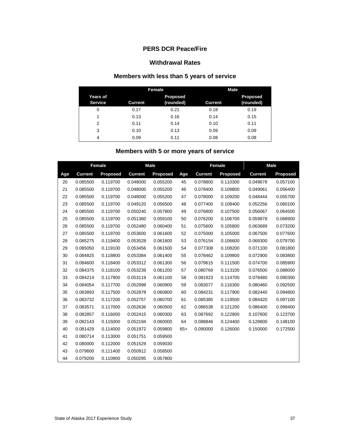#### **PERS DCR Peace/Fire**

#### **Withdrawal Rates**

# **Members with less than 5 years of service**

|                                   |                | Female                       | <b>Male</b>    |                              |  |  |
|-----------------------------------|----------------|------------------------------|----------------|------------------------------|--|--|
| <b>Years of</b><br><b>Service</b> | <b>Current</b> | <b>Proposed</b><br>(rounded) | <b>Current</b> | <b>Proposed</b><br>(rounded) |  |  |
| 0                                 | 0.17           | 0.21                         | 0.18           | 0.19                         |  |  |
| 1                                 | 0.13           | 0.16                         | 0.14           | 0.15                         |  |  |
| 2                                 | 0.11           | 0.14                         | 0.10           | 0.11                         |  |  |
| 3                                 | 0.10           | 0.13                         | 0.09           | 0.09                         |  |  |
| 4                                 | 0.09           | 0.11                         | 0.08           | 0.08                         |  |  |

# **Members with 5 or more years of service**

|     | <b>Female</b>  |          | <b>Male</b>    |          |       | <b>Female</b>  |                 | <b>Male</b>    |          |
|-----|----------------|----------|----------------|----------|-------|----------------|-----------------|----------------|----------|
| Age | <b>Current</b> | Proposed | <b>Current</b> | Proposed | Age   | <b>Current</b> | <b>Proposed</b> | <b>Current</b> | Proposed |
| 20  | 0.085500       | 0.119700 | 0.048000       | 0.055200 | 45    | 0.078800       | 0.110300        | 0.049678       | 0.057100 |
| 21  | 0.085500       | 0.119700 | 0.048000       | 0.055200 | 46    | 0.078400       | 0.109800        | 0.049061       | 0.056400 |
| 22  | 0.085500       | 0.119700 | 0.048000       | 0.055200 | 47    | 0.078000       | 0.109200        | 0.048444       | 0.055700 |
| 23  | 0.085500       | 0.119700 | 0.049120       | 0.056500 | 48    | 0.077400       | 0.108400        | 0.052256       | 0.060100 |
| 24  | 0.085500       | 0.119700 | 0.050240       | 0.057800 | 49    | 0.076800       | 0.107500        | 0.056067       | 0.064500 |
| 25  | 0.085500       | 0.119700 | 0.051360       | 0.059100 | 50    | 0.076200       | 0.106700        | 0.059878       | 0.068900 |
| 26  | 0.085500       | 0.119700 | 0.052480       | 0.060400 | 51    | 0.075600       | 0.105800        | 0.063689       | 0.073200 |
| 27  | 0.085500       | 0.119700 | 0.053600       | 0.061600 | 52    | 0.075000       | 0.105000        | 0.067500       | 0.077600 |
| 28  | 0.085275       | 0.119400 | 0.053528       | 0.061600 | 53    | 0.076154       | 0.106600        | 0.069300       | 0.079700 |
| 29  | 0.085050       | 0.119100 | 0.053456       | 0.061500 | 54    | 0.077308       | 0.108200        | 0.071100       | 0.081800 |
| 30  | 0.084825       | 0.118800 | 0.053384       | 0.061400 | 55    | 0.078462       | 0.109800        | 0.072900       | 0.083800 |
| 31  | 0.084600       | 0.118400 | 0.053312       | 0.061300 | 56    | 0.079615       | 0.111500        | 0.074700       | 0.085900 |
| 32  | 0.084375       | 0.118100 | 0.053239       | 0.061200 | 57    | 0.080769       | 0.113100        | 0.076500       | 0.088000 |
| 33  | 0.084214       | 0.117900 | 0.053119       | 0.061100 | 58    | 0.081923       | 0.114700        | 0.078480       | 0.090300 |
| 34  | 0.084054       | 0.117700 | 0.052998       | 0.060900 | 59    | 0.083077       | 0.116300        | 0.080460       | 0.092500 |
| 35  | 0.083893       | 0.117500 | 0.052878       | 0.060800 | 60    | 0.084231       | 0.117900        | 0.082440       | 0.094800 |
| 36  | 0.083732       | 0.117200 | 0.052757       | 0.060700 | 61    | 0.085385       | 0.119500        | 0.084420       | 0.097100 |
| 37  | 0.083571       | 0.117000 | 0.052636       | 0.060500 | 62    | 0.086538       | 0.121200        | 0.086400       | 0.099400 |
| 38  | 0.082857       | 0.116000 | 0.052415       | 0.060300 | 63    | 0.087692       | 0.122800        | 0.107600       | 0.123700 |
| 39  | 0.082143       | 0.115000 | 0.052194       | 0.060000 | 64    | 0.088846       | 0.124400        | 0.128800       | 0.148100 |
| 40  | 0.081429       | 0.114000 | 0.051972       | 0.059800 | $65+$ | 0.090000       | 0.126000        | 0.150000       | 0.172500 |
| 41  | 0.080714       | 0.113000 | 0.051751       | 0.059500 |       |                |                 |                |          |
| 42  | 0.080000       | 0.112000 | 0.051529       | 0.059030 |       |                |                 |                |          |
| 43  | 0.079600       | 0.111400 | 0.050912       | 0.058500 |       |                |                 |                |          |
| 44  | 0.079200       | 0.110900 | 0.050295       | 0.057800 |       |                |                 |                |          |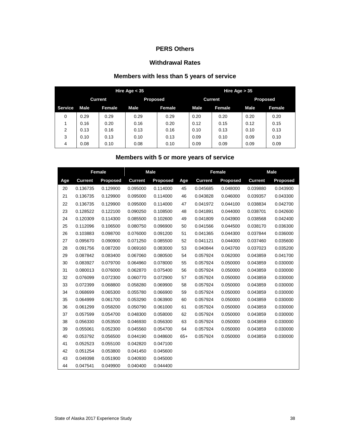#### **Withdrawal Rates**

# **Members with less than 5 years of service**

|         |                |        | Hire Age $<$ 35 |        | Hire Age $> 35$ |               |                 |         |
|---------|----------------|--------|-----------------|--------|-----------------|---------------|-----------------|---------|
|         | <b>Current</b> |        | <b>Proposed</b> |        | <b>Current</b>  |               | <b>Proposed</b> |         |
| Service | Male           | Female | Male            | Female | Male            | <b>Female</b> | Male            | Female. |
| 0       | 0.29           | 0.29   | 0.29            | 0.29   | 0.20            | 0.20          | 0.20            | 0.20    |
|         | 0.16           | 0.20   | 0.16            | 0.20   | 0.12            | 0.15          | 0.12            | 0.15    |
| 2       | 0.13           | 0.16   | 0.13            | 0.16   | 0.10            | 0.13          | 0.10            | 0.13    |
| 3       | 0.10           | 0.13   | 0.10            | 0.13   | 0.09            | 0.10          | 0.09            | 0.10    |
| 4       | 0.08           | 0.10   | 0.08            | 0.10   | 0.09            | 0.09          | 0.09            | 0.09    |

# **Members with 5 or more years of service**

|     | <b>Female</b>  |          | <b>Male</b>    |          |       |                | <b>Female</b> | <b>Male</b>    |          |
|-----|----------------|----------|----------------|----------|-------|----------------|---------------|----------------|----------|
| Age | <b>Current</b> | Proposed | <b>Current</b> | Proposed | Age   | <b>Current</b> | Proposed      | <b>Current</b> | Proposed |
| 20  | 0.136735       | 0.129900 | 0.095000       | 0.114000 | 45    | 0.045685       | 0.048000      | 0.039880       | 0.043900 |
| 21  | 0.136735       | 0.129900 | 0.095000       | 0.114000 | 46    | 0.043828       | 0.046000      | 0.039357       | 0.043300 |
| 22  | 0.136735       | 0.129900 | 0.095000       | 0.114000 | 47    | 0.041972       | 0.044100      | 0.038834       | 0.042700 |
| 23  | 0.128522       | 0.122100 | 0.090250       | 0.108500 | 48    | 0.041891       | 0.044000      | 0.038701       | 0.042600 |
| 24  | 0.120309       | 0.114300 | 0.085500       | 0.102600 | 49    | 0.041809       | 0.043900      | 0.038568       | 0.042400 |
| 25  | 0.112096       | 0.106500 | 0.080750       | 0.096900 | 50    | 0.041566       | 0.044500      | 0.038170       | 0.036300 |
| 26  | 0.103883       | 0.098700 | 0.076000       | 0.091200 | 51    | 0.041365       | 0.044300      | 0.037844       | 0.036000 |
| 27  | 0.095670       | 0.090900 | 0.071250       | 0.085500 | 52    | 0.041121       | 0.044000      | 0.037460       | 0.035600 |
| 28  | 0.091756       | 0.087200 | 0.069160       | 0.083000 | 53    | 0.040844       | 0.043700      | 0.037023       | 0.035200 |
| 29  | 0.087842       | 0.083400 | 0.067060       | 0.080500 | 54    | 0.057924       | 0.062000      | 0.043859       | 0.041700 |
| 30  | 0.083927       | 0.079700 | 0.064960       | 0.078000 | 55    | 0.057924       | 0.050000      | 0.043859       | 0.030000 |
| 31  | 0.080013       | 0.076000 | 0.062870       | 0.075400 | 56    | 0.057924       | 0.050000      | 0.043859       | 0.030000 |
| 32  | 0.076099       | 0.072300 | 0.060770       | 0.072900 | 57    | 0.057924       | 0.050000      | 0.043859       | 0.030000 |
| 33  | 0.072399       | 0.068800 | 0.058280       | 0.069900 | 58    | 0.057924       | 0.050000      | 0.043859       | 0.030000 |
| 34  | 0.068699       | 0.065300 | 0.055780       | 0.066900 | 59    | 0.057924       | 0.050000      | 0.043859       | 0.030000 |
| 35  | 0.064999       | 0.061700 | 0.053290       | 0.063900 | 60    | 0.057924       | 0.050000      | 0.043859       | 0.030000 |
| 36  | 0.061299       | 0.058200 | 0.050790       | 0.061000 | 61    | 0.057924       | 0.050000      | 0.043859       | 0.030000 |
| 37  | 0.057599       | 0.054700 | 0.048300       | 0.058000 | 62    | 0.057924       | 0.050000      | 0.043859       | 0.030000 |
| 38  | 0.056330       | 0.053500 | 0.046930       | 0.056300 | 63    | 0.057924       | 0.050000      | 0.043859       | 0.030000 |
| 39  | 0.055061       | 0.052300 | 0.045560       | 0.054700 | 64    | 0.057924       | 0.050000      | 0.043859       | 0.030000 |
| 40  | 0.053792       | 0.056500 | 0.044190       | 0.048600 | $65+$ | 0.057924       | 0.050000      | 0.043859       | 0.030000 |
| 41  | 0.052523       | 0.055100 | 0.042820       | 0.047100 |       |                |               |                |          |
| 42  | 0.051254       | 0.053800 | 0.041450       | 0.045600 |       |                |               |                |          |
| 43  | 0.049398       | 0.051900 | 0.040930       | 0.045000 |       |                |               |                |          |
| 44  | 0.047541       | 0.049900 | 0.040400       | 0.044400 |       |                |               |                |          |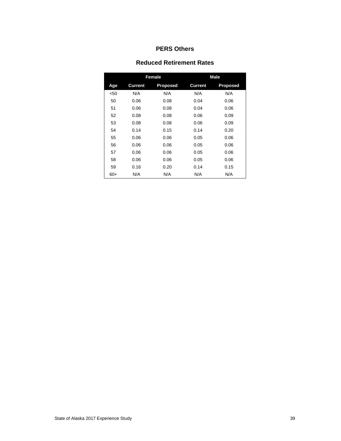#### **Reduced Retirement Rates**

|       |                | <b>Female</b>   | <b>Male</b>    |          |  |  |
|-------|----------------|-----------------|----------------|----------|--|--|
| Age   | <b>Current</b> | <b>Proposed</b> | <b>Current</b> | Proposed |  |  |
| $50$  | N/A            | N/A             | N/A            | N/A      |  |  |
| 50    | 0.06           | 0.08            | 0.04           | 0.06     |  |  |
| 51    | 0.06           | 0.08            | 0.04           | 0.06     |  |  |
| 52    | 0.08           | 0.08            | 0.06           | 0.09     |  |  |
| 53    | 0.08           | 0.08            | 0.06           | 0.09     |  |  |
| 54    | 0.14           | 0.15            | 0.14           | 0.20     |  |  |
| 55    | 0.06           | 0.06            | 0.05           | 0.06     |  |  |
| 56    | 0.06           | 0.06            | 0.05           | 0.06     |  |  |
| 57    | 0.06           | 0.06            | 0.05           | 0.06     |  |  |
| 58    | 0.06           | 0.06            | 0.05           | 0.06     |  |  |
| 59    | 0.16           | 0.20            | 0.14           | 0.15     |  |  |
| $60+$ | N/A            | N/A             | N/A            | N/A      |  |  |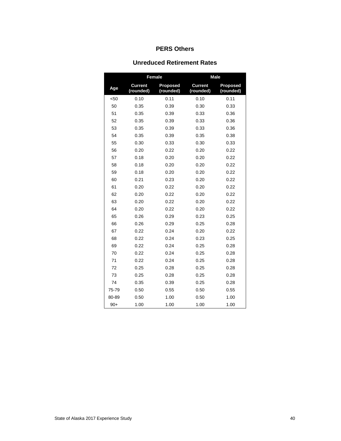#### **Unreduced Retirement Rates**

|       |                             | Female                       | <b>Male</b>                 |                              |  |  |
|-------|-----------------------------|------------------------------|-----------------------------|------------------------------|--|--|
| Age   | <b>Current</b><br>(rounded) | <b>Proposed</b><br>(rounded) | <b>Current</b><br>(rounded) | <b>Proposed</b><br>(rounded) |  |  |
| <50   | 0.10                        | 0.11                         | 0.10                        | 0.11                         |  |  |
| 50    | 0.35                        | 0.39                         | 0.30                        | 0.33                         |  |  |
| 51    | 0.35                        | 0.39                         | 0.33                        | 0.36                         |  |  |
| 52    | 0.35                        | 0.39                         | 0.33                        | 0.36                         |  |  |
| 53    | 0.35                        | 0.39                         | 0.33                        | 0.36                         |  |  |
| 54    | 0.35                        | 0.39                         | 0.35                        | 0.38                         |  |  |
| 55    | 0.30                        | 0.33                         | 0.30                        | 0.33                         |  |  |
| 56    | 0.20                        | 0.22                         | 0.20                        | 0.22                         |  |  |
| 57    | 0.18                        | 0.20                         | 0.20                        | 0.22                         |  |  |
| 58    | 0.18                        | 0.20                         | 0.20                        | 0.22                         |  |  |
| 59    | 0.18                        | 0.20                         | 0.20                        | 0.22                         |  |  |
| 60    | 0.21                        | 0.23                         | 0.20                        | 0.22                         |  |  |
| 61    | 0.20                        | 0.22                         | 0.20                        | 0.22                         |  |  |
| 62    | 0.20                        | 0.22                         | 0.20                        | 0.22                         |  |  |
| 63    | 0.20                        | 0.22                         | 0.20                        | 0.22                         |  |  |
| 64    | 0.20                        | 0.22                         | 0.20                        | 0.22                         |  |  |
| 65    | 0.26                        | 0.29                         | 0.23                        | 0.25                         |  |  |
| 66    | 0.26                        | 0.29                         | 0.25                        | 0.28                         |  |  |
| 67    | 0.22                        | 0.24                         | 0.20                        | 0.22                         |  |  |
| 68    | 0.22                        | 0.24                         | 0.23                        | 0.25                         |  |  |
| 69    | 0.22                        | 0.24                         | 0.25                        | 0.28                         |  |  |
| 70    | 0.22                        | 0.24                         | 0.25                        | 0.28                         |  |  |
| 71    | 0.22                        | 0.24                         | 0.25                        | 0.28                         |  |  |
| 72    | 0.25                        | 0.28                         | 0.25                        | 0.28                         |  |  |
| 73    | 0.25                        | 0.28                         | 0.25                        | 0.28                         |  |  |
| 74    | 0.35                        | 0.39                         | 0.25                        | 0.28                         |  |  |
| 75-79 | 0.50                        | 0.55                         | 0.50                        | 0.55                         |  |  |
| 80-89 | 0.50                        | 1.00                         | 0.50                        | 1.00                         |  |  |
| $90+$ | 1.00                        | 1.00                         | 1.00                        | 1.00                         |  |  |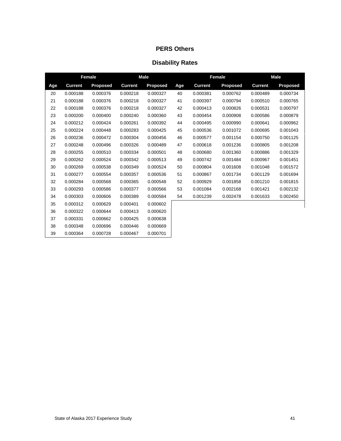|     | Female         |                 | <b>Male</b>    |                 |     | Female         |                 | <b>Male</b>    |          |
|-----|----------------|-----------------|----------------|-----------------|-----|----------------|-----------------|----------------|----------|
| Age | <b>Current</b> | <b>Proposed</b> | <b>Current</b> | <b>Proposed</b> | Age | <b>Current</b> | <b>Proposed</b> | <b>Current</b> | Proposed |
| 20  | 0.000188       | 0.000376        | 0.000218       | 0.000327        | 40  | 0.000381       | 0.000762        | 0.000489       | 0.000734 |
| 21  | 0.000188       | 0.000376        | 0.000218       | 0.000327        | 41  | 0.000397       | 0.000794        | 0.000510       | 0.000765 |
| 22  | 0.000188       | 0.000376        | 0.000218       | 0.000327        | 42  | 0.000413       | 0.000826        | 0.000531       | 0.000797 |
| 23  | 0.000200       | 0.000400        | 0.000240       | 0.000360        | 43  | 0.000454       | 0.000908        | 0.000586       | 0.000879 |
| 24  | 0.000212       | 0.000424        | 0.000261       | 0.000392        | 44  | 0.000495       | 0.000990        | 0.000641       | 0.000962 |
| 25  | 0.000224       | 0.000448        | 0.000283       | 0.000425        | 45  | 0.000536       | 0.001072        | 0.000695       | 0.001043 |
| 26  | 0.000236       | 0.000472        | 0.000304       | 0.000456        | 46  | 0.000577       | 0.001154        | 0.000750       | 0.001125 |
| 27  | 0.000248       | 0.000496        | 0.000326       | 0.000489        | 47  | 0.000618       | 0.001236        | 0.000805       | 0.001208 |
| 28  | 0.000255       | 0.000510        | 0.000334       | 0.000501        | 48  | 0.000680       | 0.001360        | 0.000886       | 0.001329 |
| 29  | 0.000262       | 0.000524        | 0.000342       | 0.000513        | 49  | 0.000742       | 0.001484        | 0.000967       | 0.001451 |
| 30  | 0.000269       | 0.000538        | 0.000349       | 0.000524        | 50  | 0.000804       | 0.001608        | 0.001048       | 0.001572 |
| 31  | 0.000277       | 0.000554        | 0.000357       | 0.000536        | 51  | 0.000867       | 0.001734        | 0.001129       | 0.001694 |
| 32  | 0.000284       | 0.000568        | 0.000365       | 0.000548        | 52  | 0.000929       | 0.001858        | 0.001210       | 0.001815 |
| 33  | 0.000293       | 0.000586        | 0.000377       | 0.000566        | 53  | 0.001084       | 0.002168        | 0.001421       | 0.002132 |
| 34  | 0.000303       | 0.000606        | 0.000389       | 0.000584        | 54  | 0.001239       | 0.002478        | 0.001633       | 0.002450 |
| 35  | 0.000312       | 0.000629        | 0.000401       | 0.000602        |     |                |                 |                |          |
| 36  | 0.000322       | 0.000644        | 0.000413       | 0.000620        |     |                |                 |                |          |
| 37  | 0.000331       | 0.000662        | 0.000425       | 0.000638        |     |                |                 |                |          |
| 38  | 0.000348       | 0.000696        | 0.000446       | 0.000669        |     |                |                 |                |          |
| 39  | 0.000364       | 0.000728        | 0.000467       | 0.000701        |     |                |                 |                |          |

# **Disability Rates**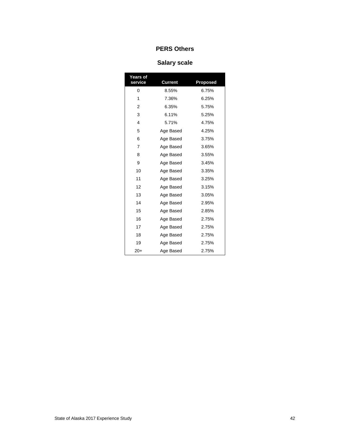# **Salary scale**

| Years of<br>service | <b>Current</b> | <b>Proposed</b> |
|---------------------|----------------|-----------------|
| 0                   | 8.55%          | 6.75%           |
| 1                   | 7.36%          | 6.25%           |
| 2                   | 6.35%          | 5.75%           |
| 3                   | 6.11%          | 5.25%           |
| 4                   | 5.71%          | 4.75%           |
| 5                   | Age Based      | 4.25%           |
| 6                   | Age Based      | 3.75%           |
| $\overline{7}$      | Age Based      | 3.65%           |
| 8                   | Age Based      | 3.55%           |
| 9                   | Age Based      | 3.45%           |
| 10                  | Age Based      | 3.35%           |
| 11                  | Age Based      | 3.25%           |
| 12                  | Age Based      | 3.15%           |
| 13                  | Age Based      | 3.05%           |
| 14                  | Age Based      | 2.95%           |
| 15                  | Age Based      | 2.85%           |
| 16                  | Age Based      | 2.75%           |
| 17                  | Age Based      | 2.75%           |
| 18                  | Age Based      | 2.75%           |
| 19                  | Age Based      | 2.75%           |
| $20+$               | Age Based      | 2.75%           |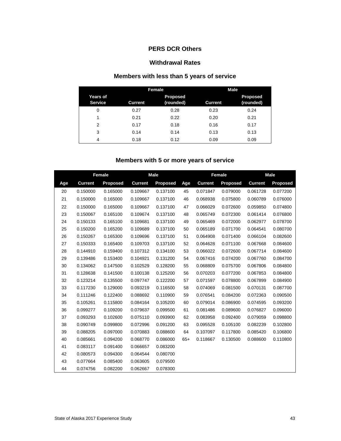#### **PERS DCR Others**

#### **Withdrawal Rates**

# **Members with less than 5 years of service**

|                            |         | <b>Female</b>                | <b>Male</b>    |                              |  |  |
|----------------------------|---------|------------------------------|----------------|------------------------------|--|--|
| Years of<br><b>Service</b> | Current | <b>Proposed</b><br>(rounded) | <b>Current</b> | <b>Proposed</b><br>(rounded) |  |  |
| 0                          | 0.27    | 0.28                         | 0.23           | 0.24                         |  |  |
| 1                          | 0.21    | 0.22                         | 0.20           | 0.21                         |  |  |
| 2                          | 0.17    | 0.18                         | 0.16           | 0.17                         |  |  |
| 3                          | 0.14    | 0.14                         | 0.13           | 0.13                         |  |  |
| 4                          | 0.18    | 0.12                         | 0.09           | 0.09                         |  |  |

# **Members with 5 or more years of service**

|     | Female         |          | <b>Male</b>    |                 |       |                | Female   | Male           |                 |
|-----|----------------|----------|----------------|-----------------|-------|----------------|----------|----------------|-----------------|
| Age | <b>Current</b> | Proposed | <b>Current</b> | <b>Proposed</b> | Age   | <b>Current</b> | Proposed | <b>Current</b> | <b>Proposed</b> |
| 20  | 0.150000       | 0.165000 | 0.109667       | 0.137100        | 45    | 0.071847       | 0.079000 | 0.061728       | 0.077200        |
| 21  | 0.150000       | 0.165000 | 0.109667       | 0.137100        | 46    | 0.068938       | 0.075800 | 0.060789       | 0.076000        |
| 22  | 0.150000       | 0.165000 | 0.109667       | 0.137100        | 47    | 0.066029       | 0.072600 | 0.059850       | 0.074800        |
| 23  | 0.150067       | 0.165100 | 0.109674       | 0.137100        | 48    | 0.065749       | 0.072300 | 0.061414       | 0.076800        |
| 24  | 0.150133       | 0.165100 | 0.109681       | 0.137100        | 49    | 0.065469       | 0.072000 | 0.062977       | 0.078700        |
| 25  | 0.150200       | 0.165200 | 0.109689       | 0.137100        | 50    | 0.065189       | 0.071700 | 0.064541       | 0.080700        |
| 26  | 0.150267       | 0.165300 | 0.109696       | 0.137100        | 51    | 0.064908       | 0.071400 | 0.066104       | 0.082600        |
| 27  | 0.150333       | 0.165400 | 0.109703       | 0.137100        | 52    | 0.064628       | 0.071100 | 0.067668       | 0.084600        |
| 28  | 0.144910       | 0.159400 | 0.107312       | 0.134100        | 53    | 0.066022       | 0.072600 | 0.067714       | 0.084600        |
| 29  | 0.139486       | 0.153400 | 0.104921       | 0.131200        | 54    | 0.067416       | 0.074200 | 0.067760       | 0.084700        |
| 30  | 0.134062       | 0.147500 | 0.102529       | 0.128200        | 55    | 0.068809       | 0.075700 | 0.067806       | 0.084800        |
| 31  | 0.128638       | 0.141500 | 0.100138       | 0.125200        | 56    | 0.070203       | 0.077200 | 0.067853       | 0.084800        |
| 32  | 0.123214       | 0.135500 | 0.097747       | 0.122200        | 57    | 0.071597       | 0.078800 | 0.067899       | 0.084900        |
| 33  | 0.117230       | 0.129000 | 0.093219       | 0.116500        | 58    | 0.074069       | 0.081500 | 0.070131       | 0.087700        |
| 34  | 0.111246       | 0.122400 | 0.088692       | 0.110900        | 59    | 0.076541       | 0.084200 | 0.072363       | 0.090500        |
| 35  | 0.105261       | 0.115800 | 0.084164       | 0.105200        | 60    | 0.079014       | 0.086900 | 0.074595       | 0.093200        |
| 36  | 0.099277       | 0.109200 | 0.079637       | 0.099500        | 61    | 0.081486       | 0.089600 | 0.076827       | 0.096000        |
| 37  | 0.093293       | 0.102600 | 0.075110       | 0.093900        | 62    | 0.083958       | 0.092400 | 0.079059       | 0.098800        |
| 38  | 0.090749       | 0.099800 | 0.072996       | 0.091200        | 63    | 0.095528       | 0.105100 | 0.082239       | 0.102800        |
| 39  | 0.088205       | 0.097000 | 0.070883       | 0.088600        | 64    | 0.107097       | 0.117800 | 0.085420       | 0.106800        |
| 40  | 0.085661       | 0.094200 | 0.068770       | 0.086000        | $65+$ | 0.118667       | 0.130500 | 0.088600       | 0.110800        |
| 41  | 0.083117       | 0.091400 | 0.066657       | 0.083200        |       |                |          |                |                 |
| 42  | 0.080573       | 0.094300 | 0.064544       | 0.080700        |       |                |          |                |                 |
| 43  | 0.077664       | 0.085400 | 0.063605       | 0.079500        |       |                |          |                |                 |
| 44  | 0.074756       | 0.082200 | 0.062667       | 0.078300        |       |                |          |                |                 |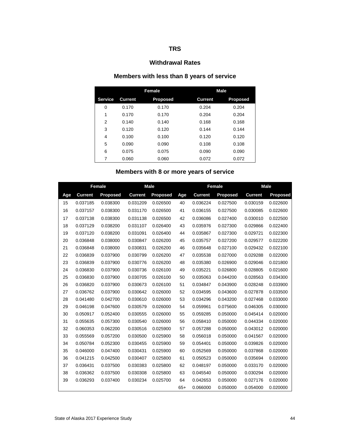#### **Withdrawal Rates**

# **Members with less than 8 years of service**

|                |                | Female          | <b>Male</b>    |                 |  |  |
|----------------|----------------|-----------------|----------------|-----------------|--|--|
| <b>Service</b> | <b>Current</b> | <b>Proposed</b> | <b>Current</b> | <b>Proposed</b> |  |  |
| 0              | 0.170          | 0.170           | 0.204          | 0.204           |  |  |
| 1              | 0.170          | 0.170           | 0.204          | 0.204           |  |  |
| 2              | 0.140          | 0.140           | 0.168          | 0.168           |  |  |
| 3              | 0.120          | 0.120           | 0.144          | 0.144           |  |  |
| 4              | 0.100          | 0.100           | 0.120          | 0.120           |  |  |
| 5              | 0.090          | 0.090           | 0.108          | 0.108           |  |  |
| 6              | 0.075          | 0.075           | 0.090          | 0.090           |  |  |
| 7              | 0.060          | 0.060           | 0.072          | 0.072           |  |  |

# **Members with 8 or more years of service**

|     | <b>Female</b>  |                 | <b>Male</b>    |                 |       | <b>Female</b>  |                 | <b>Male</b>    |                 |
|-----|----------------|-----------------|----------------|-----------------|-------|----------------|-----------------|----------------|-----------------|
| Age | <b>Current</b> | <b>Proposed</b> | <b>Current</b> | <b>Proposed</b> | Age   | <b>Current</b> | <b>Proposed</b> | <b>Current</b> | <b>Proposed</b> |
| 15  | 0.037185       | 0.038300        | 0.031209       | 0.026500        | 40    | 0.036224       | 0.027500        | 0.030159       | 0.022600        |
| 16  | 0.037157       | 0.038300        | 0.031170       | 0.026500        | 41    | 0.036155       | 0.027500        | 0.030085       | 0.022600        |
| 17  | 0.037138       | 0.038300        | 0.031138       | 0.026500        | 42    | 0.036086       | 0.027400        | 0.030010       | 0.022500        |
| 18  | 0.037129       | 0.038200        | 0.031107       | 0.026400        | 43    | 0.035976       | 0.027300        | 0.029866       | 0.022400        |
| 19  | 0.037120       | 0.038200        | 0.031091       | 0.026400        | 44    | 0.035867       | 0.027300        | 0.029721       | 0.022300        |
| 20  | 0.036848       | 0.038000        | 0.030847       | 0.026200        | 45    | 0.035757       | 0.027200        | 0.029577       | 0.022200        |
| 21  | 0.036848       | 0.038000        | 0.030831       | 0.026200        | 46    | 0.035648       | 0.027100        | 0.029432       | 0.022100        |
| 22  | 0.036839       | 0.037900        | 0.030799       | 0.026200        | 47    | 0.035538       | 0.027000        | 0.029288       | 0.022000        |
| 23  | 0.036839       | 0.037900        | 0.030776       | 0.026200        | 48    | 0.035380       | 0.026900        | 0.029046       | 0.021800        |
| 24  | 0.036830       | 0.037900        | 0.030736       | 0.026100        | 49    | 0.035221       | 0.026800        | 0.028805       | 0.021600        |
| 25  | 0.036830       | 0.037900        | 0.030705       | 0.026100        | 50    | 0.035063       | 0.044200        | 0.028563       | 0.034300        |
| 26  | 0.036820       | 0.037900        | 0.030673       | 0.026100        | 51    | 0.034847       | 0.043900        | 0.028248       | 0.033900        |
| 27  | 0.036762       | 0.037900        | 0.030642       | 0.026000        | 52    | 0.034595       | 0.043600        | 0.027878       | 0.033500        |
| 28  | 0.041480       | 0.042700        | 0.030610       | 0.026000        | 53    | 0.034296       | 0.043200        | 0.027468       | 0.033000        |
| 29  | 0.046198       | 0.047600        | 0.030579       | 0.026000        | 54    | 0.059961       | 0.075600        | 0.046305       | 0.030000        |
| 30  | 0.050917       | 0.052400        | 0.030555       | 0.026000        | 55    | 0.059285       | 0.050000        | 0.045414       | 0.020000        |
| 31  | 0.055635       | 0.057300        | 0.030540       | 0.026000        | 56    | 0.058410       | 0.050000        | 0.044334       | 0.020000        |
| 32  | 0.060353       | 0.062200        | 0.030516       | 0.025900        | 57    | 0.057288       | 0.050000        | 0.043012       | 0.020000        |
| 33  | 0.055569       | 0.057200        | 0.030500       | 0.025900        | 58    | 0.056018       | 0.050000        | 0.041567       | 0.020000        |
| 34  | 0.050784       | 0.052300        | 0.030455       | 0.025900        | 59    | 0.054401       | 0.050000        | 0.039826       | 0.020000        |
| 35  | 0.046000       | 0.047400        | 0.030431       | 0.025900        | 60    | 0.052569       | 0.050000        | 0.037868       | 0.020000        |
| 36  | 0.041215       | 0.042500        | 0.030407       | 0.025800        | 61    | 0.050523       | 0.050000        | 0.035694       | 0.020000        |
| 37  | 0.036431       | 0.037500        | 0.030383       | 0.025800        | 62    | 0.048197       | 0.050000        | 0.033170       | 0.020000        |
| 38  | 0.036362       | 0.037500        | 0.030308       | 0.025800        | 63    | 0.045540       | 0.050000        | 0.030294       | 0.020000        |
| 39  | 0.036293       | 0.037400        | 0.030234       | 0.025700        | 64    | 0.042653       | 0.050000        | 0.027176       | 0.020000        |
|     |                |                 |                |                 | $65+$ | 0.066000       | 0.050000        | 0.054000       | 0.020000        |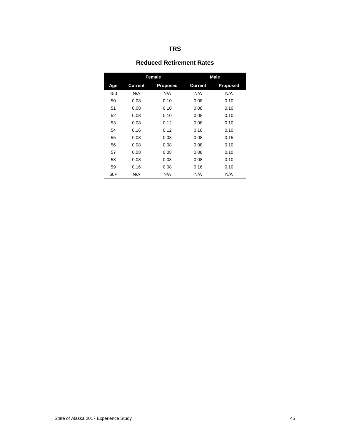#### **Reduced Retirement Rates**

|       |                | Female          | <b>Male</b>    |                 |  |  |
|-------|----------------|-----------------|----------------|-----------------|--|--|
| Age   | <b>Current</b> | <b>Proposed</b> | <b>Current</b> | <b>Proposed</b> |  |  |
| < 50  | N/A            | N/A             | N/A            | N/A             |  |  |
| 50    | 0.08           | 0.10            | 0.08           | 0.10            |  |  |
| 51    | 0.08           | 0.10            | 0.08           | 0.10            |  |  |
| 52    | 0.08           | 0.10            | 0.08           | 0.10            |  |  |
| 53    | 0.08           | 0.12            | 0.08           | 0.10            |  |  |
| 54    | 0.16           | 0.12            | 0.16           | 0.10            |  |  |
| 55    | 0.08           | 0.08            | 0.08           | 0.15            |  |  |
| 56    | 0.08           | 0.08            | 0.08           | 0.10            |  |  |
| 57    | 0.08           | 0.08            | 0.08           | 0.10            |  |  |
| 58    | 0.08           | 0.08            | 0.08           | 0.10            |  |  |
| 59    | 0.16           | 0.08            | 0.16           | 0.10            |  |  |
| $60+$ | N/A            | N/A             | N/A            | N/A             |  |  |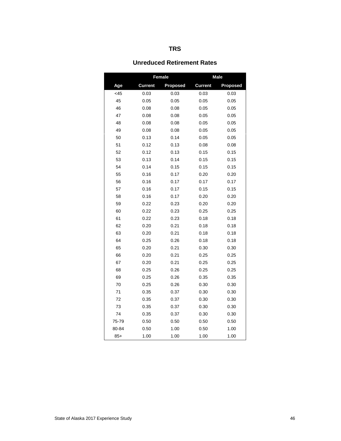#### **Unreduced Retirement Rates**

|       |                | Female          |                | <b>Male</b>     |
|-------|----------------|-----------------|----------------|-----------------|
| Age   | <b>Current</b> | <b>Proposed</b> | <b>Current</b> | <b>Proposed</b> |
| <45   | 0.03           | 0.03            | 0.03           | 0.03            |
| 45    | 0.05           | 0.05            | 0.05           | 0.05            |
| 46    | 0.08           | 0.08            | 0.05           | 0.05            |
| 47    | 0.08           | 0.08            | 0.05           | 0.05            |
| 48    | 0.08           | 0.08            | 0.05           | 0.05            |
| 49    | 0.08           | 0.08            | 0.05           | 0.05            |
| 50    | 0.13           | 0.14            | 0.05           | 0.05            |
| 51    | 0.12           | 0.13            | 0.08           | 0.08            |
| 52    | 0.12           | 0.13            | 0.15           | 0.15            |
| 53    | 0.13           | 0.14            | 0.15           | 0.15            |
| 54    | 0.14           | 0.15            | 0.15           | 0.15            |
| 55    | 0.16           | 0.17            | 0.20           | 0.20            |
| 56    | 0.16           | 0.17            | 0.17           | 0.17            |
| 57    | 0.16           | 0.17            | 0.15           | 0.15            |
| 58    | 0.16           | 0.17            | 0.20           | 0.20            |
| 59    | 0.22           | 0.23            | 0.20           | 0.20            |
| 60    | 0.22           | 0.23            | 0.25           | 0.25            |
| 61    | 0.22           | 0.23            | 0.18           | 0.18            |
| 62    | 0.20           | 0.21            | 0.18           | 0.18            |
| 63    | 0.20           | 0.21            | 0.18           | 0.18            |
| 64    | 0.25           | 0.26            | 0.18           | 0.18            |
| 65    | 0.20           | 0.21            | 0.30           | 0.30            |
| 66    | 0.20           | 0.21            | 0.25           | 0.25            |
| 67    | 0.20           | 0.21            | 0.25           | 0.25            |
| 68    | 0.25           | 0.26            | 0.25           | 0.25            |
| 69    | 0.25           | 0.26            | 0.35           | 0.35            |
| 70    | 0.25           | 0.26            | 0.30           | 0.30            |
| 71    | 0.35           | 0.37            | 0.30           | 0.30            |
| 72    | 0.35           | 0.37            | 0.30           | 0.30            |
| 73    | 0.35           | 0.37            | 0.30           | 0.30            |
| 74    | 0.35           | 0.37            | 0.30           | 0.30            |
| 75-79 | 0.50           | 0.50            | 0.50           | 0.50            |
| 80-84 | 0.50           | 1.00            | 0.50           | 1.00            |
| $85+$ | 1.00           | 1.00            | 1.00           | 1.00            |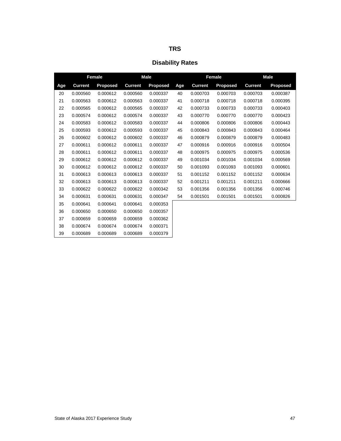|  | ×<br>v |
|--|--------|
|--|--------|

|     | <b>Female</b>  |          | <b>Male</b>    |                 |     | <b>Female</b>  |                 | <b>Male</b>    |                 |
|-----|----------------|----------|----------------|-----------------|-----|----------------|-----------------|----------------|-----------------|
| Age | <b>Current</b> | Proposed | <b>Current</b> | <b>Proposed</b> | Age | <b>Current</b> | <b>Proposed</b> | <b>Current</b> | <b>Proposed</b> |
| 20  | 0.000560       | 0.000612 | 0.000560       | 0.000337        | 40  | 0.000703       | 0.000703        | 0.000703       | 0.000387        |
| 21  | 0.000563       | 0.000612 | 0.000563       | 0.000337        | 41  | 0.000718       | 0.000718        | 0.000718       | 0.000395        |
| 22  | 0.000565       | 0.000612 | 0.000565       | 0.000337        | 42  | 0.000733       | 0.000733        | 0.000733       | 0.000403        |
| 23  | 0.000574       | 0.000612 | 0.000574       | 0.000337        | 43  | 0.000770       | 0.000770        | 0.000770       | 0.000423        |
| 24  | 0.000583       | 0.000612 | 0.000583       | 0.000337        | 44  | 0.000806       | 0.000806        | 0.000806       | 0.000443        |
| 25  | 0.000593       | 0.000612 | 0.000593       | 0.000337        | 45  | 0.000843       | 0.000843        | 0.000843       | 0.000464        |
| 26  | 0.000602       | 0.000612 | 0.000602       | 0.000337        | 46  | 0.000879       | 0.000879        | 0.000879       | 0.000483        |
| 27  | 0.000611       | 0.000612 | 0.000611       | 0.000337        | 47  | 0.000916       | 0.000916        | 0.000916       | 0.000504        |
| 28  | 0.000611       | 0.000612 | 0.000611       | 0.000337        | 48  | 0.000975       | 0.000975        | 0.000975       | 0.000536        |
| 29  | 0.000612       | 0.000612 | 0.000612       | 0.000337        | 49  | 0.001034       | 0.001034        | 0.001034       | 0.000569        |
| 30  | 0.000612       | 0.000612 | 0.000612       | 0.000337        | 50  | 0.001093       | 0.001093        | 0.001093       | 0.000601        |
| 31  | 0.000613       | 0.000613 | 0.000613       | 0.000337        | 51  | 0.001152       | 0.001152        | 0.001152       | 0.000634        |
| 32  | 0.000613       | 0.000613 | 0.000613       | 0.000337        | 52  | 0.001211       | 0.001211        | 0.001211       | 0.000666        |
| 33  | 0.000622       | 0.000622 | 0.000622       | 0.000342        | 53  | 0.001356       | 0.001356        | 0.001356       | 0.000746        |
| 34  | 0.000631       | 0.000631 | 0.000631       | 0.000347        | 54  | 0.001501       | 0.001501        | 0.001501       | 0.000826        |
| 35  | 0.000641       | 0.000641 | 0.000641       | 0.000353        |     |                |                 |                |                 |
| 36  | 0.000650       | 0.000650 | 0.000650       | 0.000357        |     |                |                 |                |                 |
| 37  | 0.000659       | 0.000659 | 0.000659       | 0.000362        |     |                |                 |                |                 |
| 38  | 0.000674       | 0.000674 | 0.000674       | 0.000371        |     |                |                 |                |                 |
| 39  | 0.000689       | 0.000689 | 0.000689       | 0.000379        |     |                |                 |                |                 |

# **Disability Rates**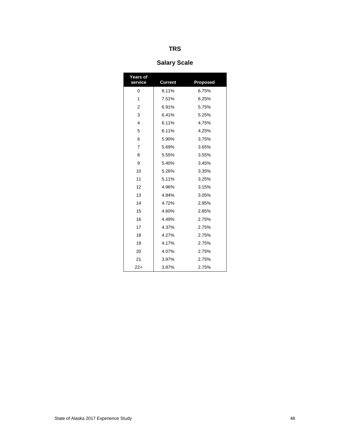# **Salary Scale**

| Years of<br>service | <b>Current</b> | <b>Proposed</b> |
|---------------------|----------------|-----------------|
| 0                   | 8.11%          | 6.75%           |
| 1                   | 7.51%          | 6.25%           |
| 2                   | 6.91%          | 5.75%           |
| 3                   | 6.41%          | 5.25%           |
| $\overline{4}$      | 6.11%          | 4.75%           |
| 5                   | 6.11%          | 4.25%           |
| 6                   | 5.90%          | 3.75%           |
| $\overline{7}$      | 5.69%          | 3.65%           |
| 8                   | 5.55%          | 3.55%           |
| 9                   | 5.40%          | 3.45%           |
| 10                  | 5.26%          | 3.35%           |
| 11                  | 5.11%          | 3.25%           |
| 12                  | 4.96%          | 3.15%           |
| 13                  | 4.84%          | 3.05%           |
| 14                  | 4.72%          | 2.95%           |
| 15                  | 4.60%          | 2.85%           |
| 16                  | 4.49%          | 2.75%           |
| 17                  | 4.37%          | 2.75%           |
| 18                  | 4.27%          | 2.75%           |
| 19                  | 4.17%          | 2.75%           |
| 20                  | 4.07%          | 2.75%           |
| 21                  | 3.97%          | 2.75%           |
| 22+                 | 3.87%          | 2.75%           |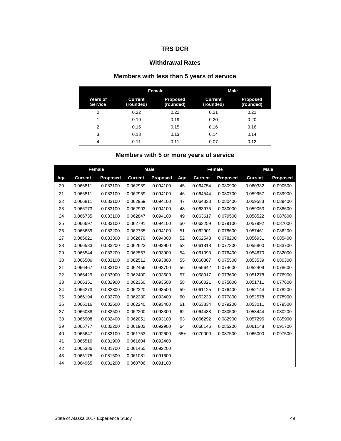#### **TRS DCR**

#### **Withdrawal Rates**

# **Members with less than 5 years of service**

|                            |                             | Female                       | Male                        |                              |  |  |
|----------------------------|-----------------------------|------------------------------|-----------------------------|------------------------------|--|--|
| Years of<br><b>Service</b> | <b>Current</b><br>(rounded) | <b>Proposed</b><br>(rounded) | <b>Current</b><br>(rounded) | <b>Proposed</b><br>(rounded) |  |  |
| 0                          | 0.22                        | 0.22                         | 0.21                        | 0.21                         |  |  |
|                            | 0.19                        | 0.19                         | 0.20                        | 0.20                         |  |  |
| $\overline{2}$             | 0.15                        | 0.15                         | 0.16                        | 0.16                         |  |  |
| 3                          | 0.13                        | 0.13                         | 0.14                        | 0.14                         |  |  |
| $\overline{4}$             | 0.11                        | 0.11                         | 0.07                        | 0.12                         |  |  |

# **Members with 5 or more years of service**

|     | Female         |          | <b>Male</b>    |                 |       | Female         |                 | <b>Male</b>    |                 |
|-----|----------------|----------|----------------|-----------------|-------|----------------|-----------------|----------------|-----------------|
| Age | <b>Current</b> | Proposed | <b>Current</b> | <b>Proposed</b> | Age   | <b>Current</b> | <b>Proposed</b> | <b>Current</b> | <b>Proposed</b> |
| 20  | 0.066811       | 0.083100 | 0.062959       | 0.094100        | 45    | 0.064754       | 0.080900        | 0.060332       | 0.090500        |
| 21  | 0.066811       | 0.083100 | 0.062959       | 0.094100        | 46    | 0.064544       | 0.080700        | 0.059957       | 0.089900        |
| 22  | 0.066811       | 0.083100 | 0.062959       | 0.094100        | 47    | 0.064333       | 0.080400        | 0.059583       | 0.089400        |
| 23  | 0.066773       | 0.083100 | 0.062903       | 0.094100        | 48    | 0.063975       | 0.080000        | 0.059053       | 0.088600        |
| 24  | 0.066735       | 0.083100 | 0.062847       | 0.094100        | 49    | 0.063617       | 0.079500        | 0.058522       | 0.087800        |
| 25  | 0.066697       | 0.083100 | 0.062791       | 0.094100        | 50    | 0.063259       | 0.079100        | 0.057992       | 0.087000        |
| 26  | 0.066659       | 0.083200 | 0.062735       | 0.094100        | 51    | 0.062901       | 0.078600        | 0.057461       | 0.086200        |
| 27  | 0.066621       | 0.083300 | 0.062679       | 0.094000        | 52    | 0.062543       | 0.078200        | 0.056931       | 0.085400        |
| 28  | 0.066583       | 0.083200 | 0.062623       | 0.093900        | 53    | 0.061818       | 0.077300        | 0.055800       | 0.083700        |
| 29  | 0.066544       | 0.083200 | 0.062567       | 0.093900        | 54    | 0.061093       | 0.076400        | 0.054670       | 0.082000        |
| 30  | 0.066506       | 0.083100 | 0.062512       | 0.093800        | 55    | 0.060367       | 0.075500        | 0.053539       | 0.080300        |
| 31  | 0.066467       | 0.083100 | 0.062456       | 0.093700        | 56    | 0.059642       | 0.074600        | 0.052409       | 0.078600        |
| 32  | 0.066429       | 0.083000 | 0.062400       | 0.093600        | 57    | 0.058917       | 0.073600        | 0.051278       | 0.076900        |
| 33  | 0.066351       | 0.082900 | 0.062360       | 0.093500        | 58    | 0.060021       | 0.075000        | 0.051711       | 0.077600        |
| 34  | 0.066273       | 0.082800 | 0.062320       | 0.093500        | 59    | 0.061125       | 0.076400        | 0.052144       | 0.078200        |
| 35  | 0.066194       | 0.082700 | 0.062280       | 0.093400        | 60    | 0.062230       | 0.077800        | 0.052578       | 0.078900        |
| 36  | 0.066116       | 0.082600 | 0.062240       | 0.093400        | 61    | 0.063334       | 0.079200        | 0.053011       | 0.079500        |
| 37  | 0.066038       | 0.082500 | 0.062200       | 0.093300        | 62    | 0.064438       | 0.080500        | 0.053444       | 0.080200        |
| 38  | 0.065908       | 0.082400 | 0.062051       | 0.093100        | 63    | 0.066292       | 0.082900        | 0.057296       | 0.085900        |
| 39  | 0.065777       | 0.082200 | 0.061902       | 0.092900        | 64    | 0.068146       | 0.085200        | 0.061148       | 0.091700        |
| 40  | 0.065647       | 0.082100 | 0.061753       | 0.092600        | $65+$ | 0.070000       | 0.087500        | 0.065000       | 0.097500        |
| 41  | 0.065516       | 0.081900 | 0.061604       | 0.092400        |       |                |                 |                |                 |
| 42  | 0.065386       | 0.081700 | 0.061455       | 0.092200        |       |                |                 |                |                 |
| 43  | 0.065175       | 0.081500 | 0.061081       | 0.091600        |       |                |                 |                |                 |
| 44  | 0.064965       | 0.081200 | 0.060706       | 0.091100        |       |                |                 |                |                 |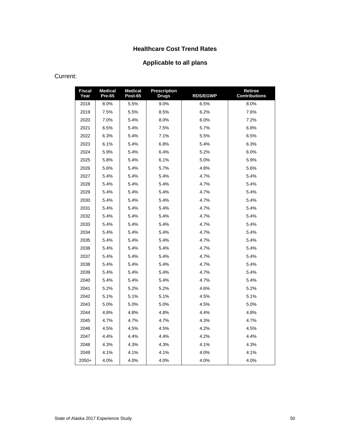# **Healthcare Cost Trend Rates**

# **Applicable to all plans**

#### Current:

| <b>Fiscal</b><br>Year | <b>Medical</b><br>Pre-65 | <b>Medical</b><br>Post-65 | Prescription<br><b>Drugs</b> | <b>RDS/EGWP</b> | Retiree<br><b>Contributions</b> |
|-----------------------|--------------------------|---------------------------|------------------------------|-----------------|---------------------------------|
| 2018                  | 8.0%                     | 5.5%                      | 9.0%                         | 6.5%            | 8.0%                            |
| 2019                  | 7.5%                     | 5.5%                      | 8.5%                         | 6.2%            | 7.6%                            |
| 2020                  | 7.0%                     | 5.4%                      | 8.0%                         | 6.0%            | 7.2%                            |
| 2021                  | 6.5%                     | 5.4%                      | 7.5%                         | 5.7%            | 6.8%                            |
| 2022                  | 6.3%                     | 5.4%                      | 7.1%                         | 5.5%            | 6.5%                            |
| 2023                  | 6.1%                     | 5.4%                      | 6.8%                         | 5.4%            | 6.3%                            |
| 2024                  | 5.9%                     | 5.4%                      | 6.4%                         | 5.2%            | 6.0%                            |
| 2025                  | 5.8%                     | 5.4%                      | 6.1%                         | 5.0%            | 5.9%                            |
| 2026                  | 5.6%                     | 5.4%                      | 5.7%                         | 4.8%            | 5.6%                            |
| 2027                  | 5.4%                     | 5.4%                      | 5.4%                         | 4.7%            | 5.4%                            |
| 2028                  | 5.4%                     | 5.4%                      | 5.4%                         | 4.7%            | 5.4%                            |
| 2029                  | 5.4%                     | 5.4%                      | 5.4%                         | 4.7%            | 5.4%                            |
| 2030                  | 5.4%                     | 5.4%                      | 5.4%                         | 4.7%            | 5.4%                            |
| 2031                  | 5.4%                     | 5.4%                      | 5.4%                         | 4.7%            | 5.4%                            |
| 2032                  | 5.4%                     | 5.4%                      | 5.4%                         | 4.7%            | 5.4%                            |
| 2033                  | 5.4%                     | 5.4%                      | 5.4%                         | 4.7%            | 5.4%                            |
| 2034                  | 5.4%                     | 5.4%                      | 5.4%                         | 4.7%            | 5.4%                            |
| 2035                  | 5.4%                     | 5.4%                      | 5.4%                         | 4.7%            | 5.4%                            |
| 2036                  | 5.4%                     | 5.4%                      | 5.4%                         | 4.7%            | 5.4%                            |
| 2037                  | 5.4%                     | 5.4%                      | 5.4%                         | 4.7%            | 5.4%                            |
| 2038                  | 5.4%                     | 5.4%                      | 5.4%                         | 4.7%            | 5.4%                            |
| 2039                  | 5.4%                     | 5.4%                      | 5.4%                         | 4.7%            | 5.4%                            |
| 2040                  | 5.4%                     | 5.4%                      | 5.4%                         | 4.7%            | 5.4%                            |
| 2041                  | 5.2%                     | 5.2%                      | 5.2%                         | 4.6%            | 5.2%                            |
| 2042                  | 5.1%                     | 5.1%                      | 5.1%                         | 4.5%            | 5.1%                            |
| 2043                  | 5.0%                     | 5.0%                      | 5.0%                         | 4.5%            | 5.0%                            |
| 2044                  | 4.8%                     | 4.8%                      | 4.8%                         | 4.4%            | 4.8%                            |
| 2045                  | 4.7%                     | 4.7%                      | 4.7%                         | 4.3%            | 4.7%                            |
| 2046                  | 4.5%                     | 4.5%                      | 4.5%                         | 4.2%            | 4.5%                            |
| 2047                  | 4.4%                     | 4.4%                      | 4.4%                         | 4.2%            | 4.4%                            |
| 2048                  | 4.3%                     | 4.3%                      | 4.3%                         | 4.1%            | 4.3%                            |
| 2049                  | 4.1%                     | 4.1%                      | 4.1%                         | 4.0%            | 4.1%                            |
| $2050+$               | 4.0%                     | 4.0%                      | 4.0%                         | 4.0%            | 4.0%                            |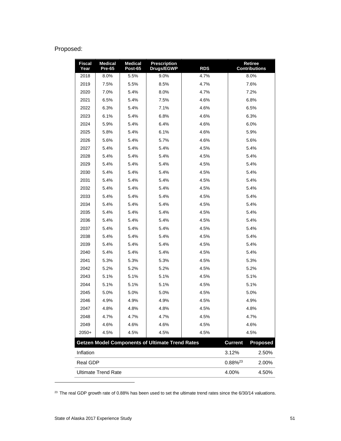# Proposed:

| <b>Fiscal</b><br>Year | <b>Medical</b><br>Pre-65   | <b>Medical</b><br>Post-65 | <b>Prescription</b><br>Drugs/EGWP                      | <b>RDS</b> | <b>Retiree</b><br><b>Contributions</b> |                 |
|-----------------------|----------------------------|---------------------------|--------------------------------------------------------|------------|----------------------------------------|-----------------|
| 2018                  | 8.0%                       | 5.5%                      | 9.0%                                                   | 4.7%       | 8.0%                                   |                 |
| 2019                  | 7.5%                       | 5.5%                      | 8.5%                                                   | 4.7%       | 7.6%                                   |                 |
| 2020                  | 7.0%                       | 5.4%                      | 8.0%                                                   | 4.7%       | 7.2%                                   |                 |
| 2021                  | 6.5%                       | 5.4%                      | 7.5%                                                   | 4.6%       | 6.8%                                   |                 |
| 2022                  | 6.3%                       | 5.4%                      | 7.1%                                                   | 4.6%       | 6.5%                                   |                 |
| 2023                  | 6.1%                       | 5.4%                      | 6.8%                                                   | 4.6%       | 6.3%                                   |                 |
| 2024                  | 5.9%                       | 5.4%                      | 6.4%                                                   | 4.6%       | 6.0%                                   |                 |
| 2025                  | 5.8%                       | 5.4%                      | 6.1%                                                   | 4.6%       | 5.9%                                   |                 |
| 2026                  | 5.6%                       | 5.4%                      | 5.7%                                                   | 4.6%       | 5.6%                                   |                 |
| 2027                  | 5.4%                       | 5.4%                      | 5.4%                                                   | 4.5%       | 5.4%                                   |                 |
| 2028                  | 5.4%                       | 5.4%                      | 5.4%                                                   | 4.5%       | 5.4%                                   |                 |
| 2029                  | 5.4%                       | 5.4%                      | 5.4%                                                   | 4.5%       | 5.4%                                   |                 |
| 2030                  | 5.4%                       | 5.4%                      | 5.4%                                                   | 4.5%       | 5.4%                                   |                 |
| 2031                  | 5.4%                       | 5.4%                      | 5.4%                                                   | 4.5%       | 5.4%                                   |                 |
| 2032                  | 5.4%                       | 5.4%                      | 5.4%                                                   | 4.5%       | 5.4%                                   |                 |
| 2033                  | 5.4%                       | 5.4%                      | 5.4%                                                   | 4.5%       | 5.4%                                   |                 |
| 2034                  | 5.4%                       | 5.4%                      | 5.4%                                                   | 4.5%       | 5.4%                                   |                 |
| 2035                  | 5.4%                       | 5.4%                      | 5.4%                                                   | 4.5%       | 5.4%                                   |                 |
| 2036                  | 5.4%                       | 5.4%                      | 5.4%                                                   | 4.5%       | 5.4%                                   |                 |
| 2037                  | 5.4%                       | 5.4%                      | 5.4%                                                   | 4.5%       | 5.4%                                   |                 |
| 2038                  | 5.4%                       | 5.4%                      | 5.4%                                                   | 4.5%       | 5.4%                                   |                 |
| 2039                  | 5.4%                       | 5.4%                      | 5.4%                                                   | 4.5%       | 5.4%                                   |                 |
| 2040                  | 5.4%                       | 5.4%                      | 5.4%                                                   | 4.5%       | 5.4%                                   |                 |
| 2041                  | 5.3%                       | 5.3%                      | 5.3%                                                   | 4.5%       | 5.3%                                   |                 |
| 2042                  | 5.2%                       | 5.2%                      | 5.2%                                                   | 4.5%       | 5.2%                                   |                 |
| 2043                  | 5.1%                       | 5.1%                      | 5.1%                                                   | 4.5%       | 5.1%                                   |                 |
| 2044                  | 5.1%                       | 5.1%                      | 5.1%                                                   | 4.5%       | 5.1%                                   |                 |
| 2045                  | 5.0%                       | 5.0%                      | 5.0%                                                   | 4.5%       | 5.0%                                   |                 |
| 2046                  | 4.9%                       | 4.9%                      | 4.9%                                                   | 4.5%       | 4.9%                                   |                 |
| 2047                  | 4.8%                       | 4.8%                      | 4.8%                                                   | 4.5%       | 4.8%                                   |                 |
| 2048                  | 4.7%                       | 4.7%                      | 4.7%                                                   | 4.5%       | 4.7%                                   |                 |
| 2049                  | 4.6%                       | 4.6%                      | 4.6%                                                   | 4.5%       | 4.6%                                   |                 |
| $2050+$               | 4.5%                       | 4.5%                      | 4.5%                                                   | 4.5%       | 4.5%                                   |                 |
|                       |                            |                           | <b>Getzen Model Components of Ultimate Trend Rates</b> |            | <b>Current</b>                         | <b>Proposed</b> |
| Inflation             |                            |                           |                                                        |            | 3.12%                                  | 2.50%           |
| Real GDP              |                            |                           |                                                        |            | $0.88\%^{23}$                          | 2.00%           |
|                       | <b>Ultimate Trend Rate</b> |                           |                                                        |            | 4.00%                                  | 4.50%           |

 $^{23}$  The real GDP growth rate of 0.88% has been used to set the ultimate trend rates since the 6/30/14 valuations.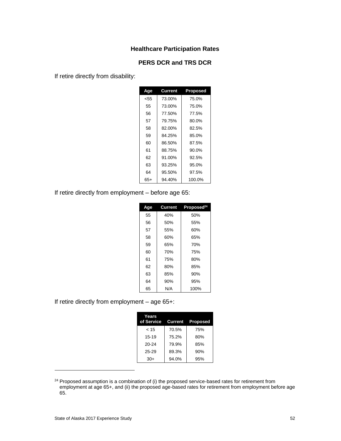#### **Healthcare Participation Rates**

#### **PERS DCR and TRS DCR**

If retire directly from disability:

| Age | Current | <b>Proposed</b> |  |
|-----|---------|-----------------|--|
| <55 | 73.00%  | 75.0%           |  |
| 55  | 73.00%  | 75.0%           |  |
| 56  | 77.50%  | 77.5%           |  |
| 57  | 79.75%  | 80.0%           |  |
| 58  | 82.00%  | 82.5%           |  |
| 59  | 84.25%  | 85.0%           |  |
| 60  | 86.50%  | 87.5%           |  |
| 61  | 88.75%  | $90.0\%$        |  |
| 62  | 91.00%  | 92.5%           |  |
| 63  | 93.25%  | 95.0%           |  |
| 64  | 95.50%  | 97.5%           |  |
| 65+ | 94.40%  | 100.0%          |  |

If retire directly from employment – before age 65:

| Age | Current | Proposed <sup>24</sup> |
|-----|---------|------------------------|
| 55  | 40%     | 50%                    |
| 56  | 50%     | 55%                    |
| 57  | 55%     | 60%                    |
| 58  | 60%     | 65%                    |
| 59  | 65%     | 70%                    |
| 60  | 70%     | 75%                    |
| 61  | 75%     | 80%                    |
| 62  | 80%     | 85%                    |
| 63  | 85%     | 90%                    |
| 64  | 90%     | 95%                    |
| 65  | N/A     | 100%                   |

If retire directly from employment – age 65+:

| Years<br>of Service Current Proposed |       |     |
|--------------------------------------|-------|-----|
| < 15                                 | 70.5% | 75% |
| $15 - 19$                            | 75.2% | 80% |
| $20 - 24$                            | 79.9% | 85% |
| $25 - 29$                            | 89.3% | 90% |
| $30+$                                | 94.0% | 95% |

<sup>&</sup>lt;sup>24</sup> Proposed assumption is a combination of (i) the proposed service-based rates for retirement from employment at age 65+, and (ii) the proposed age-based rates for retirement from employment before age 65.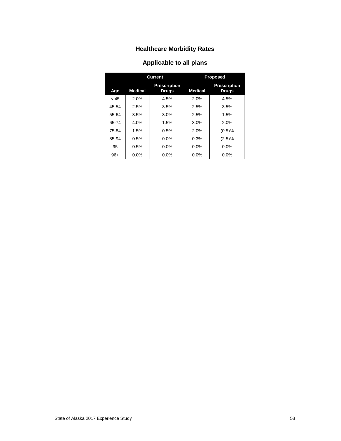# **Healthcare Morbidity Rates**

# **Applicable to all plans**

|       |                | <b>Current</b>                      | <b>Proposed</b> |                                     |  |
|-------|----------------|-------------------------------------|-----------------|-------------------------------------|--|
| Age   | <b>Medical</b> | <b>Prescription</b><br><b>Drugs</b> | <b>Medical</b>  | <b>Prescription</b><br><b>Drugs</b> |  |
| < 45  | 2.0%           | 4.5%                                | 2.0%            | 4.5%                                |  |
| 45-54 | 2.5%           | 3.5%                                | 2.5%            | 3.5%                                |  |
| 55-64 | 3.5%           | 3.0%                                | 2.5%            | 1.5%                                |  |
| 65 74 | 4.0%           | 1.5%                                | 3.0%            | 2.0%                                |  |
| 75-84 | 1.5%           | 0.5%                                | 2.0%            | (0.5)%                              |  |
| 85-94 | 0.5%           | $0.0\%$                             | 0.3%            | (2.5)%                              |  |
| 95    | 0.5%           | $0.0\%$                             | $0.0\%$         | 0.0%                                |  |
| $96+$ | $0.0\%$        | $0.0\%$                             | $0.0\%$         | $0.0\%$                             |  |